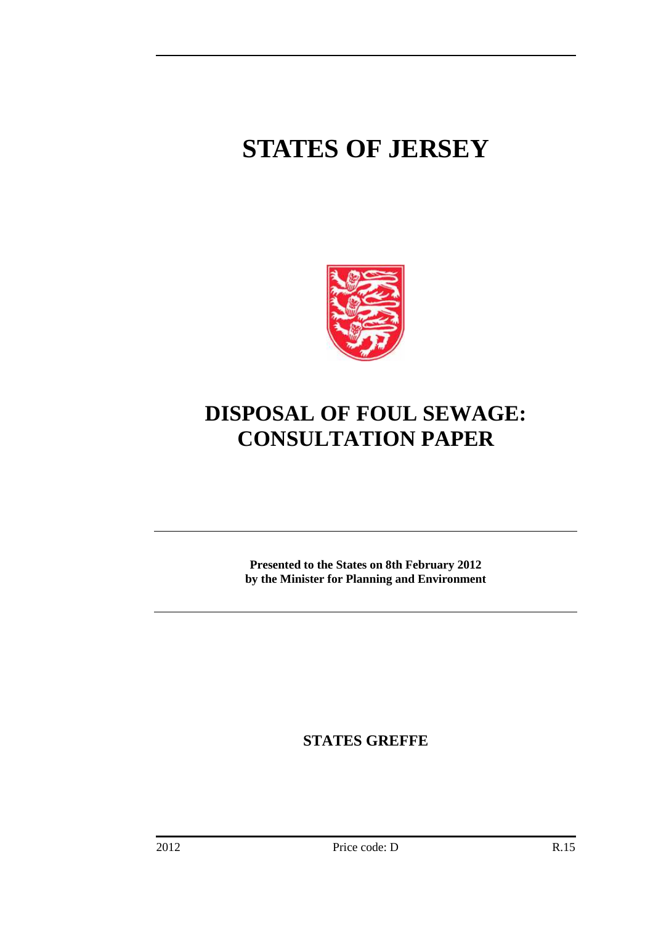## **STATES OF JERSEY**



### **DISPOSAL OF FOUL SEWAGE: CONSULTATION PAPER**

**Presented to the States on 8th February 2012 by the Minister for Planning and Environment** 

**STATES GREFFE**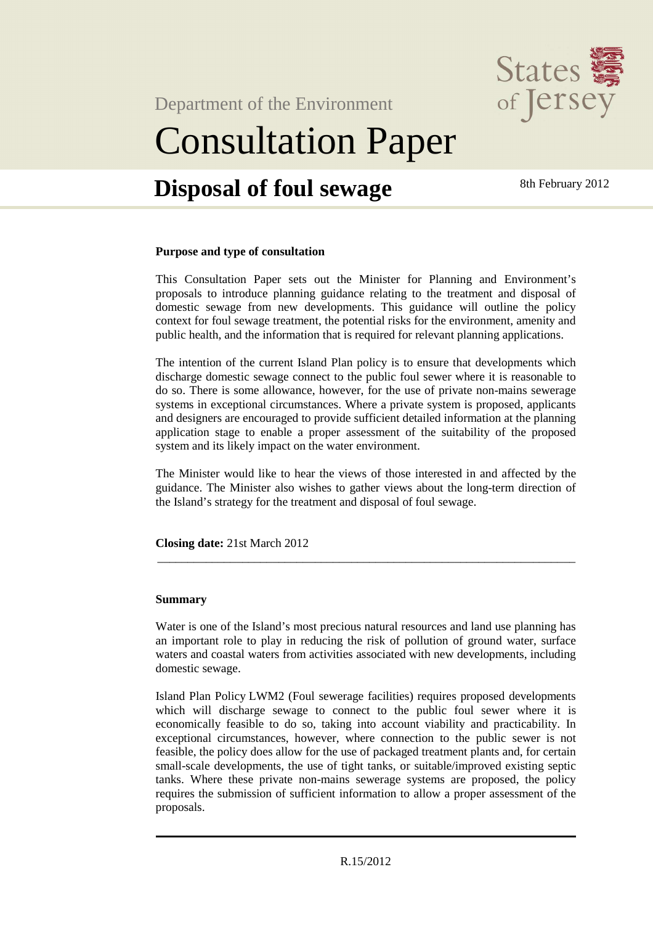

Department of the Environment

# Consultation Paper

### **Disposal of foul sewage** 8th February 2012

#### **Purpose and type of consultation**

This Consultation Paper sets out the Minister for Planning and Environment's proposals to introduce planning guidance relating to the treatment and disposal of domestic sewage from new developments. This guidance will outline the policy context for foul sewage treatment, the potential risks for the environment, amenity and public health, and the information that is required for relevant planning applications.

The intention of the current Island Plan policy is to ensure that developments which discharge domestic sewage connect to the public foul sewer where it is reasonable to do so. There is some allowance, however, for the use of private non-mains sewerage systems in exceptional circumstances. Where a private system is proposed, applicants and designers are encouraged to provide sufficient detailed information at the planning application stage to enable a proper assessment of the suitability of the proposed system and its likely impact on the water environment.

The Minister would like to hear the views of those interested in and affected by the guidance. The Minister also wishes to gather views about the long-term direction of the Island's strategy for the treatment and disposal of foul sewage.

\_\_\_\_\_\_\_\_\_\_\_\_\_\_\_\_\_\_\_\_\_\_\_\_\_\_\_\_\_\_\_\_\_\_\_\_\_\_\_\_\_\_\_\_\_\_\_\_\_\_\_\_\_\_\_\_\_\_\_\_\_\_\_\_\_\_\_\_\_

**Closing date:** 21st March 2012

#### **Summary**

Water is one of the Island's most precious natural resources and land use planning has an important role to play in reducing the risk of pollution of ground water, surface waters and coastal waters from activities associated with new developments, including domestic sewage.

Island Plan Policy LWM2 (Foul sewerage facilities) requires proposed developments which will discharge sewage to connect to the public foul sewer where it is economically feasible to do so, taking into account viability and practicability. In exceptional circumstances, however, where connection to the public sewer is not feasible, the policy does allow for the use of packaged treatment plants and, for certain small-scale developments, the use of tight tanks, or suitable/improved existing septic tanks. Where these private non-mains sewerage systems are proposed, the policy requires the submission of sufficient information to allow a proper assessment of the proposals.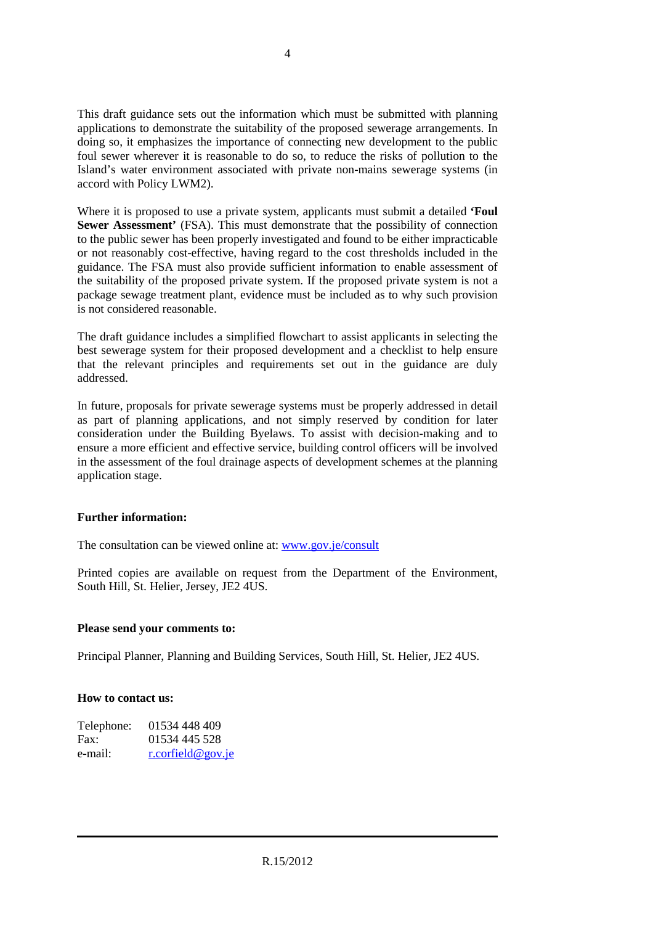This draft guidance sets out the information which must be submitted with planning applications to demonstrate the suitability of the proposed sewerage arrangements. In doing so, it emphasizes the importance of connecting new development to the public foul sewer wherever it is reasonable to do so, to reduce the risks of pollution to the Island's water environment associated with private non-mains sewerage systems (in accord with Policy LWM2).

Where it is proposed to use a private system, applicants must submit a detailed **'Foul Sewer Assessment'** (FSA). This must demonstrate that the possibility of connection to the public sewer has been properly investigated and found to be either impracticable or not reasonably cost-effective, having regard to the cost thresholds included in the guidance. The FSA must also provide sufficient information to enable assessment of the suitability of the proposed private system. If the proposed private system is not a package sewage treatment plant, evidence must be included as to why such provision is not considered reasonable.

The draft guidance includes a simplified flowchart to assist applicants in selecting the best sewerage system for their proposed development and a checklist to help ensure that the relevant principles and requirements set out in the guidance are duly addressed.

In future, proposals for private sewerage systems must be properly addressed in detail as part of planning applications, and not simply reserved by condition for later consideration under the Building Byelaws. To assist with decision-making and to ensure a more efficient and effective service, building control officers will be involved in the assessment of the foul drainage aspects of development schemes at the planning application stage.

#### **Further information:**

The consultation can be viewed online at: www.gov.je/consult

Printed copies are available on request from the Department of the Environment, South Hill, St. Helier, Jersey, JE2 4US.

#### **Please send your comments to:**

Principal Planner, Planning and Building Services, South Hill, St. Helier, JE2 4US.

#### **How to contact us:**

| 01534 448 409     |
|-------------------|
| 01534 445 528     |
| r.corfield@gov.je |
|                   |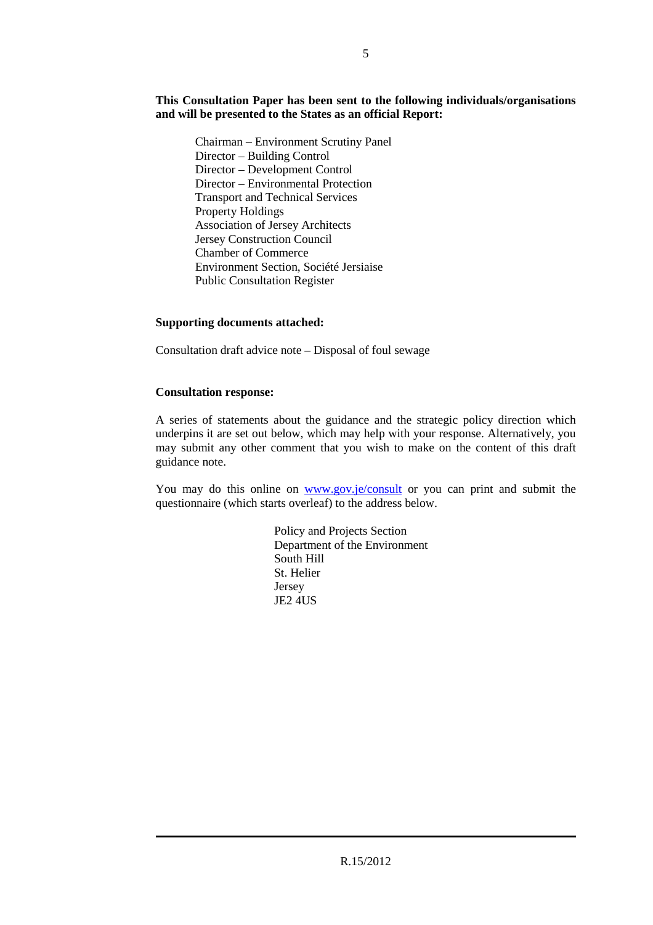#### **This Consultation Paper has been sent to the following individuals/organisations and will be presented to the States as an official Report:**

Chairman – Environment Scrutiny Panel Director – Building Control Director – Development Control Director – Environmental Protection Transport and Technical Services Property Holdings Association of Jersey Architects Jersey Construction Council Chamber of Commerce Environment Section, Société Jersiaise Public Consultation Register

#### **Supporting documents attached:**

Consultation draft advice note – Disposal of foul sewage

#### **Consultation response:**

A series of statements about the guidance and the strategic policy direction which underpins it are set out below, which may help with your response. Alternatively, you may submit any other comment that you wish to make on the content of this draft guidance note.

You may do this online on www.gov.je/consult or you can print and submit the questionnaire (which starts overleaf) to the address below.

> Policy and Projects Section Department of the Environment South Hill St. Helier Jersey JE2 4US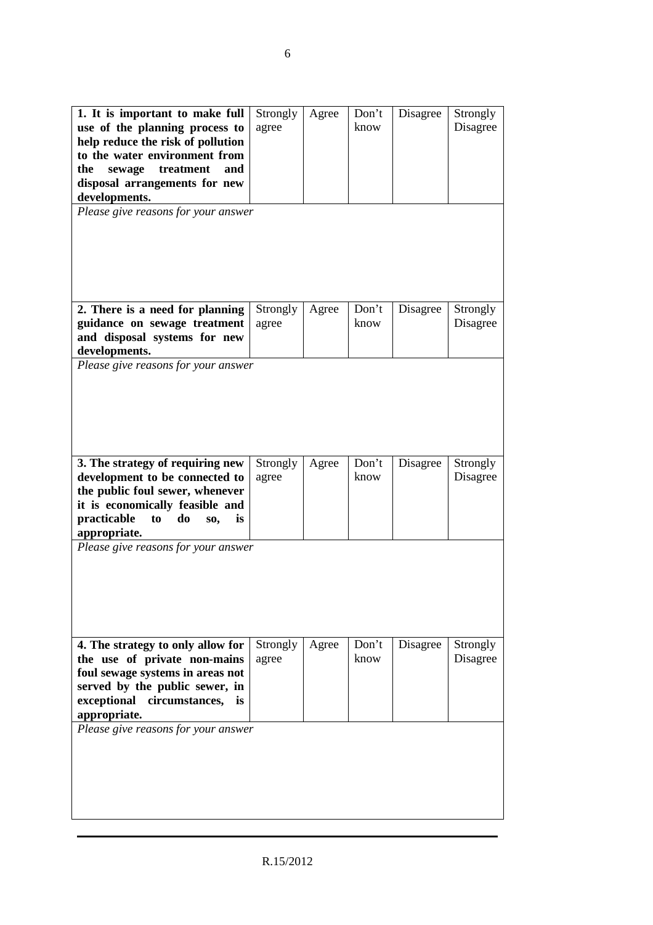| 1. It is important to make full<br>use of the planning process to<br>help reduce the risk of pollution<br>to the water environment from<br>treatment<br>the<br>sewage<br>and<br>disposal arrangements for new<br>developments.<br>Please give reasons for your answer | Strongly<br>agree | Agree | Don't<br>know | Disagree | Strongly<br>Disagree |
|-----------------------------------------------------------------------------------------------------------------------------------------------------------------------------------------------------------------------------------------------------------------------|-------------------|-------|---------------|----------|----------------------|
| 2. There is a need for planning<br>guidance on sewage treatment<br>and disposal systems for new                                                                                                                                                                       | Strongly<br>agree | Agree | Don't<br>know | Disagree | Strongly<br>Disagree |
| developments.                                                                                                                                                                                                                                                         |                   |       |               |          |                      |
| Please give reasons for your answer                                                                                                                                                                                                                                   |                   |       |               |          |                      |
| 3. The strategy of requiring new<br>development to be connected to<br>the public foul sewer, whenever<br>it is economically feasible and<br>practicable<br>do<br>to<br>SO,<br>is<br>appropriate.                                                                      | Strongly<br>agree | Agree | Don't<br>know | Disagree | Strongly<br>Disagree |
| Please give reasons for your answer                                                                                                                                                                                                                                   |                   |       |               |          |                      |
| 4. The strategy to only allow for<br>the use of private non-mains<br>foul sewage systems in areas not<br>served by the public sewer, in<br>exceptional<br>circumstances,<br>is.<br>appropriate.                                                                       | Strongly<br>agree | Agree | Don't<br>know | Disagree | Strongly<br>Disagree |
| Please give reasons for your answer                                                                                                                                                                                                                                   |                   |       |               |          |                      |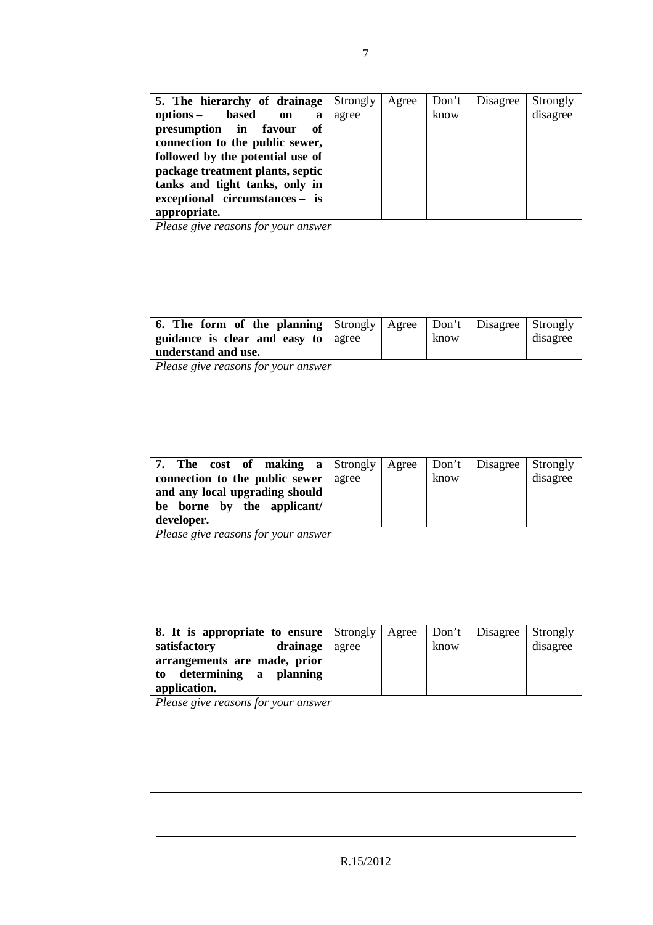| 5. The hierarchy of drainage<br><b>based</b><br>options –<br>on<br>a<br>presumption<br>in<br>favour<br><b>of</b><br>connection to the public sewer,<br>followed by the potential use of<br>package treatment plants, septic<br>tanks and tight tanks, only in<br>exceptional circumstances - is<br>appropriate.<br>Please give reasons for your answer | Strongly<br>agree | Agree | Don't<br>know | Disagree | Strongly<br>disagree |
|--------------------------------------------------------------------------------------------------------------------------------------------------------------------------------------------------------------------------------------------------------------------------------------------------------------------------------------------------------|-------------------|-------|---------------|----------|----------------------|
| 6. The form of the planning<br>guidance is clear and easy to<br>understand and use.                                                                                                                                                                                                                                                                    | Strongly<br>agree | Agree | Don't<br>know | Disagree | Strongly<br>disagree |
| Please give reasons for your answer<br>7. The cost of making<br>a<br>connection to the public sewer<br>and any local upgrading should<br>borne by the applicant/<br>be<br>developer.                                                                                                                                                                   | Strongly<br>agree | Agree | Don't<br>know | Disagree | Strongly<br>disagree |
| Please give reasons for your answer                                                                                                                                                                                                                                                                                                                    |                   |       |               |          |                      |
| 8. It is appropriate to ensure<br>satisfactory<br>drainage<br>arrangements are made, prior<br>determining<br>a planning<br>to<br>application.                                                                                                                                                                                                          | Strongly<br>agree | Agree | Don't<br>know | Disagree | Strongly<br>disagree |
| Please give reasons for your answer                                                                                                                                                                                                                                                                                                                    |                   |       |               |          |                      |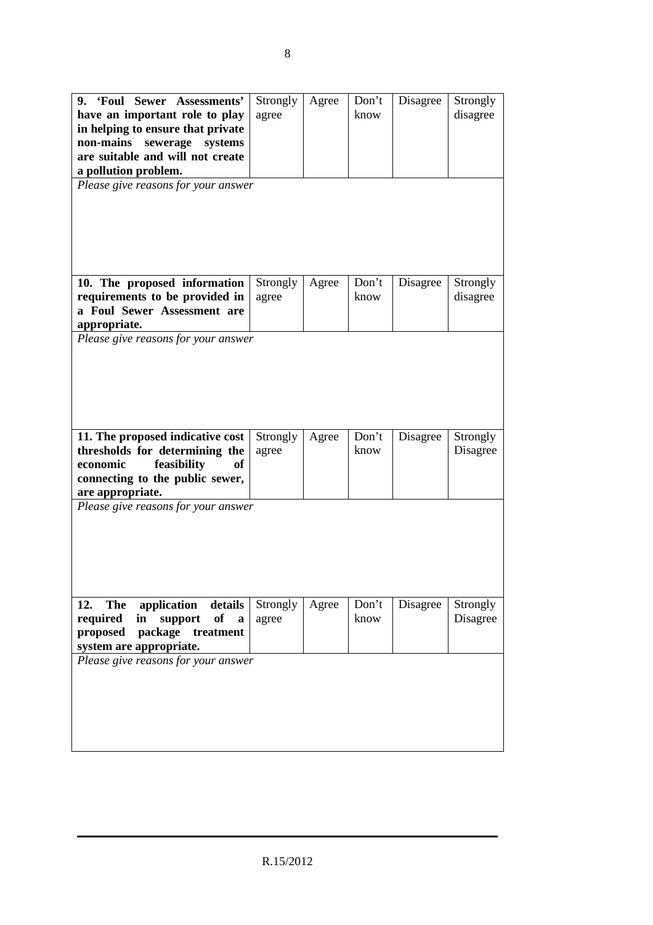| 9. 'Foul Sewer Assessments'<br>have an important role to play<br>in helping to ensure that private<br>non-mains<br>sewerage<br>systems<br>are suitable and will not create<br>a pollution problem.<br>Please give reasons for your answer | Strongly<br>agree | Agree | Don't<br>know | Disagree | Strongly<br>disagree |
|-------------------------------------------------------------------------------------------------------------------------------------------------------------------------------------------------------------------------------------------|-------------------|-------|---------------|----------|----------------------|
| 10. The proposed information<br>requirements to be provided in<br>a Foul Sewer Assessment are<br>appropriate.                                                                                                                             | Strongly<br>agree | Agree | Don't<br>know | Disagree | Strongly<br>disagree |
| Please give reasons for your answer<br>11. The proposed indicative cost                                                                                                                                                                   | Strongly          | Agree | Don't         | Disagree | Strongly             |
| thresholds for determining the<br>feasibility<br>economic<br>of<br>connecting to the public sewer,<br>are appropriate.                                                                                                                    | agree             |       | know          |          | Disagree             |
| Please give reasons for your answer                                                                                                                                                                                                       |                   |       |               |          |                      |
| application details<br>12.<br>The<br>support<br>of<br>required<br>in<br>$\mathbf{a}$<br>proposed package treatment<br>system are appropriate.                                                                                             | Strongly<br>agree | Agree | Don't<br>know | Disagree | Strongly<br>Disagree |
| Please give reasons for your answer                                                                                                                                                                                                       |                   |       |               |          |                      |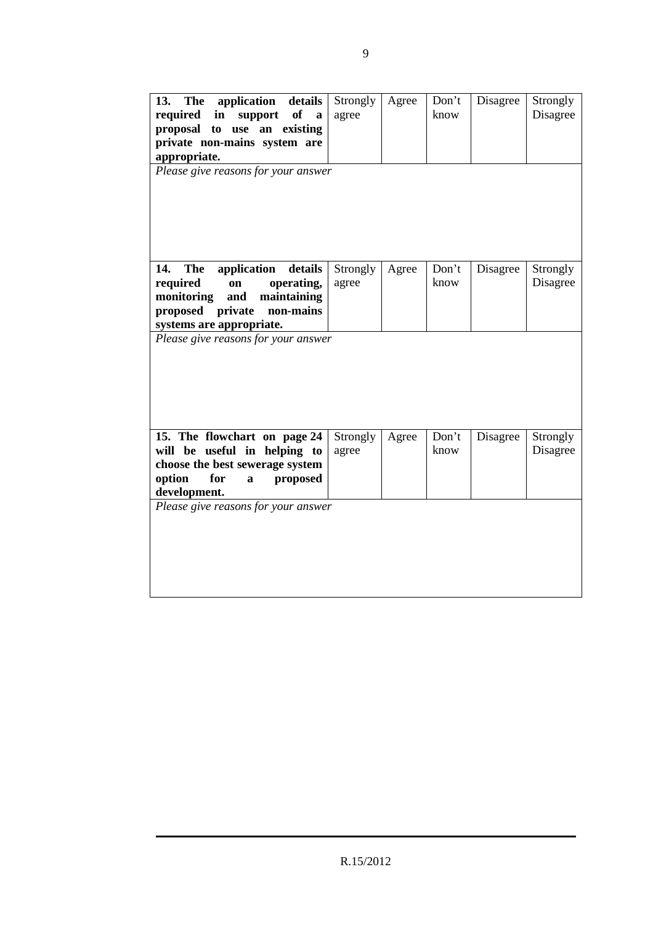| 13.<br><b>The</b><br>application<br>details<br>required<br>of<br>in<br>support<br>$\mathbf{a}$<br>proposal to<br>use an existing<br>private non-mains system are<br>appropriate.<br>Please give reasons for your answer | Strongly<br>agree | Agree | Don't<br>know | Disagree | Strongly<br>Disagree |
|-------------------------------------------------------------------------------------------------------------------------------------------------------------------------------------------------------------------------|-------------------|-------|---------------|----------|----------------------|
| application<br>details<br>14.<br>The<br>required<br>operating,<br>on<br>maintaining<br>monitoring<br>and<br>private<br>proposed<br>non-mains<br>systems are appropriate.<br>Please give reasons for your answer         | Strongly<br>agree | Agree | Don't<br>know | Disagree | Strongly<br>Disagree |
| 15. The flowchart on page 24<br>will be useful in helping to<br>choose the best sewerage system<br>option<br>for<br>proposed<br>$\mathbf a$<br>development.<br>Please give reasons for your answer                      | Strongly<br>agree | Agree | Don't<br>know | Disagree | Strongly<br>Disagree |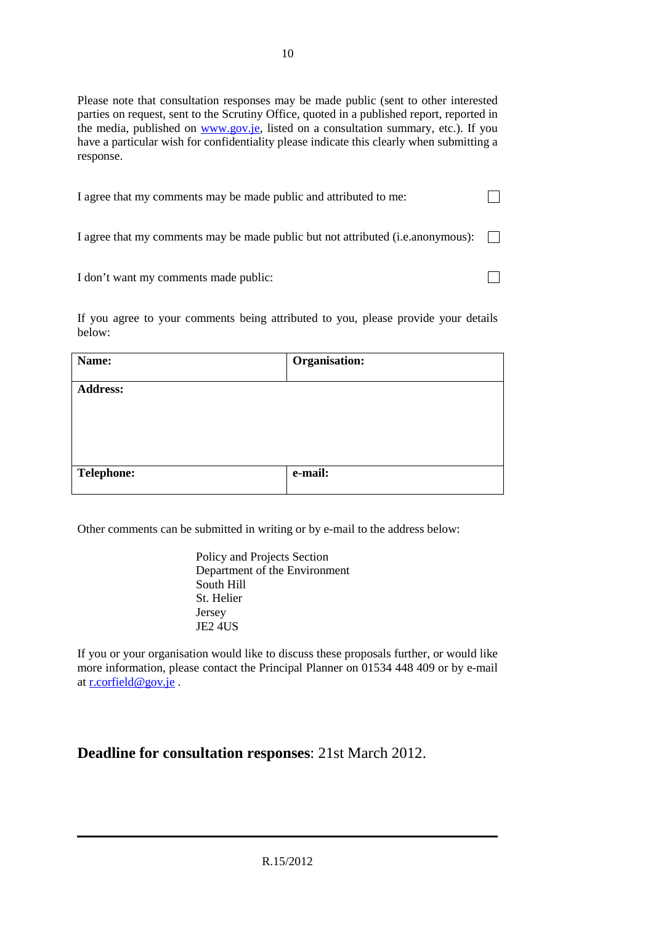Please note that consultation responses may be made public (sent to other interested parties on request, sent to the Scrutiny Office, quoted in a published report, reported in the media, published on www.gov.je, listed on a consultation summary, etc.). If you have a particular wish for confidentiality please indicate this clearly when submitting a response.

| I agree that my comments may be made public and attributed to me:                       |  |
|-----------------------------------------------------------------------------------------|--|
| I agree that my comments may be made public but not attributed (i.e. anonymous): $\Box$ |  |
| I don't want my comments made public:                                                   |  |

If you agree to your comments being attributed to you, please provide your details below:

| Name:             | Organisation: |
|-------------------|---------------|
| <b>Address:</b>   |               |
|                   |               |
|                   |               |
| <b>Telephone:</b> | e-mail:       |

Other comments can be submitted in writing or by e-mail to the address below:

Policy and Projects Section Department of the Environment South Hill St. Helier Jersey JE2 4US

If you or your organisation would like to discuss these proposals further, or would like more information, please contact the Principal Planner on 01534 448 409 or by e-mail at r.corfield@gov.je .

#### **Deadline for consultation responses**: 21st March 2012.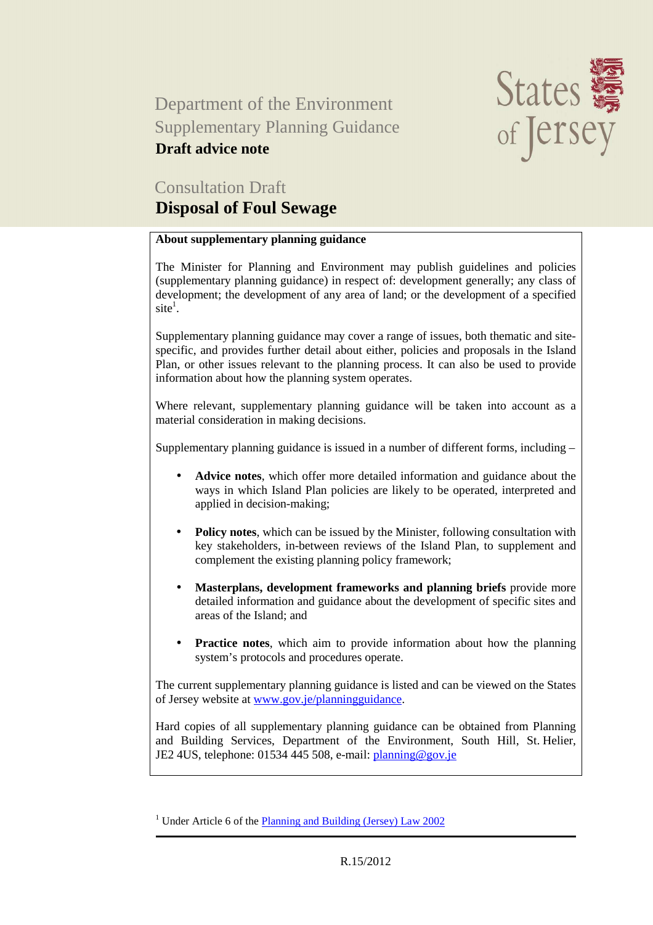### Department of the Environment Supplementary Planning Guidance **Draft advice note**



### Consultation Draft

#### **Disposal of Foul Sewage**

#### **About supplementary planning guidance**

The Minister for Planning and Environment may publish guidelines and policies (supplementary planning guidance) in respect of: development generally; any class of development; the development of any area of land; or the development of a specified  $site<sup>1</sup>$ .

Supplementary planning guidance may cover a range of issues, both thematic and sitespecific, and provides further detail about either, policies and proposals in the Island Plan, or other issues relevant to the planning process. It can also be used to provide information about how the planning system operates.

Where relevant, supplementary planning guidance will be taken into account as a material consideration in making decisions.

Supplementary planning guidance is issued in a number of different forms, including –

- **Advice notes**, which offer more detailed information and guidance about the ways in which Island Plan policies are likely to be operated, interpreted and applied in decision-making;
- **Policy notes**, which can be issued by the Minister, following consultation with key stakeholders, in-between reviews of the Island Plan, to supplement and complement the existing planning policy framework;
- **Masterplans, development frameworks and planning briefs** provide more detailed information and guidance about the development of specific sites and areas of the Island; and
- **Practice notes**, which aim to provide information about how the planning system's protocols and procedures operate.

The current supplementary planning guidance is listed and can be viewed on the States of Jersey website at www.gov.je/planningguidance.

Hard copies of all supplementary planning guidance can be obtained from Planning and Building Services, Department of the Environment, South Hill, St. Helier, JE2 4US, telephone: 01534 445 508, e-mail: planning@gov.je

<sup>&</sup>lt;sup>1</sup> Under Article 6 of the **Planning and Building (Jersey)** Law 2002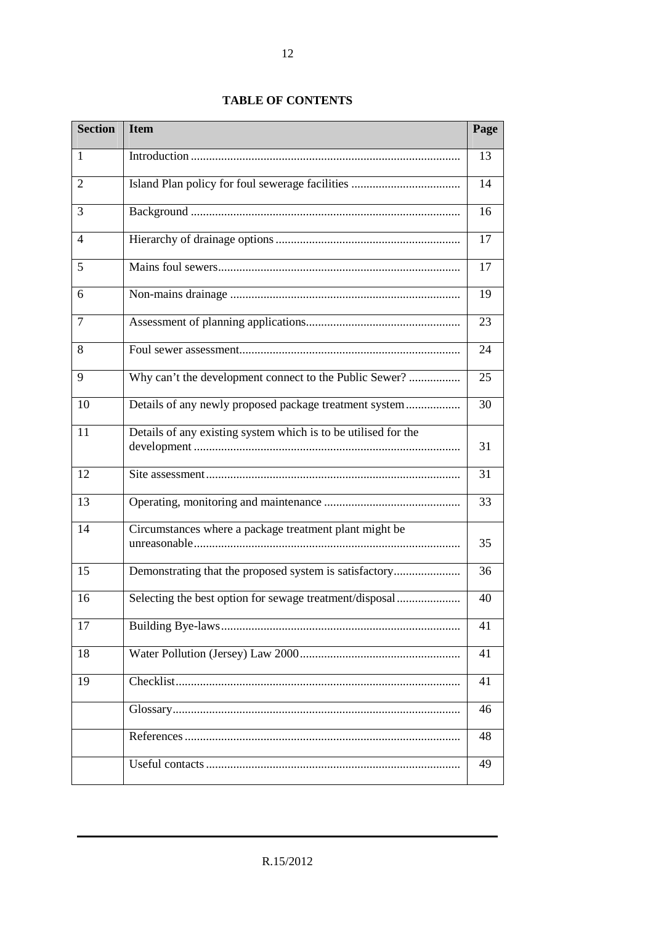#### **TABLE OF CONTENTS**

| <b>Section</b> | <b>Item</b>                                                    | Page |
|----------------|----------------------------------------------------------------|------|
| $\mathbf{1}$   |                                                                | 13   |
| 2              |                                                                | 14   |
| 3              |                                                                | 16   |
| 4              |                                                                | 17   |
| 5              |                                                                | 17   |
| 6              |                                                                | 19   |
| $\overline{7}$ |                                                                | 23   |
| 8              |                                                                | 24   |
| 9              | Why can't the development connect to the Public Sewer?         | 25   |
| 10             |                                                                | 30   |
| 11             | Details of any existing system which is to be utilised for the | 31   |
| 12             |                                                                | 31   |
| 13             |                                                                | 33   |
| 14             | Circumstances where a package treatment plant might be         | 35   |
| 15             | Demonstrating that the proposed system is satisfactory         | 36   |
| 16             | Selecting the best option for sewage treatment/disposal        | 40   |
| 17             |                                                                | 41   |
| 18             |                                                                | 41   |
| 19             |                                                                | 41   |
|                |                                                                | 46   |
|                |                                                                | 48   |
|                |                                                                | 49   |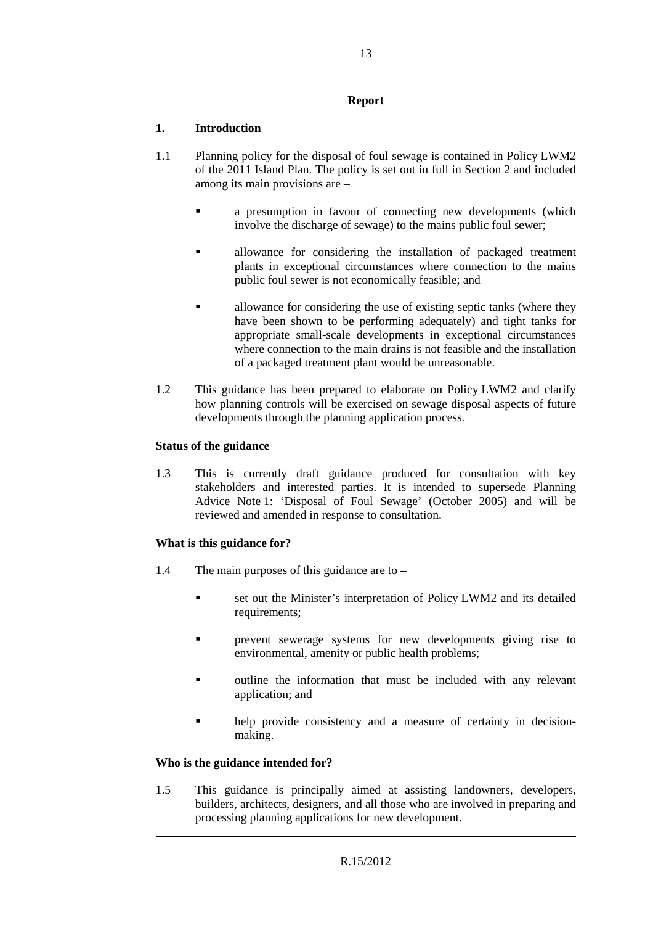#### **Report**

#### **1. Introduction**

- 1.1 Planning policy for the disposal of foul sewage is contained in Policy LWM2 of the 2011 Island Plan. The policy is set out in full in Section 2 and included among its main provisions are –
	- a presumption in favour of connecting new developments (which involve the discharge of sewage) to the mains public foul sewer;
	- allowance for considering the installation of packaged treatment plants in exceptional circumstances where connection to the mains public foul sewer is not economically feasible; and
	- allowance for considering the use of existing septic tanks (where they have been shown to be performing adequately) and tight tanks for appropriate small-scale developments in exceptional circumstances where connection to the main drains is not feasible and the installation of a packaged treatment plant would be unreasonable.
- 1.2 This guidance has been prepared to elaborate on Policy LWM2 and clarify how planning controls will be exercised on sewage disposal aspects of future developments through the planning application process.

#### **Status of the guidance**

1.3 This is currently draft guidance produced for consultation with key stakeholders and interested parties. It is intended to supersede Planning Advice Note 1: 'Disposal of Foul Sewage' (October 2005) and will be reviewed and amended in response to consultation.

#### **What is this guidance for?**

- 1.4 The main purposes of this guidance are to
	- set out the Minister's interpretation of Policy LWM2 and its detailed requirements;
	- **Permission** prevent sewerage systems for new developments giving rise to environmental, amenity or public health problems;
	- outline the information that must be included with any relevant application; and
	- help provide consistency and a measure of certainty in decisionmaking.

#### **Who is the guidance intended for?**

1.5 This guidance is principally aimed at assisting landowners, developers, builders, architects, designers, and all those who are involved in preparing and processing planning applications for new development.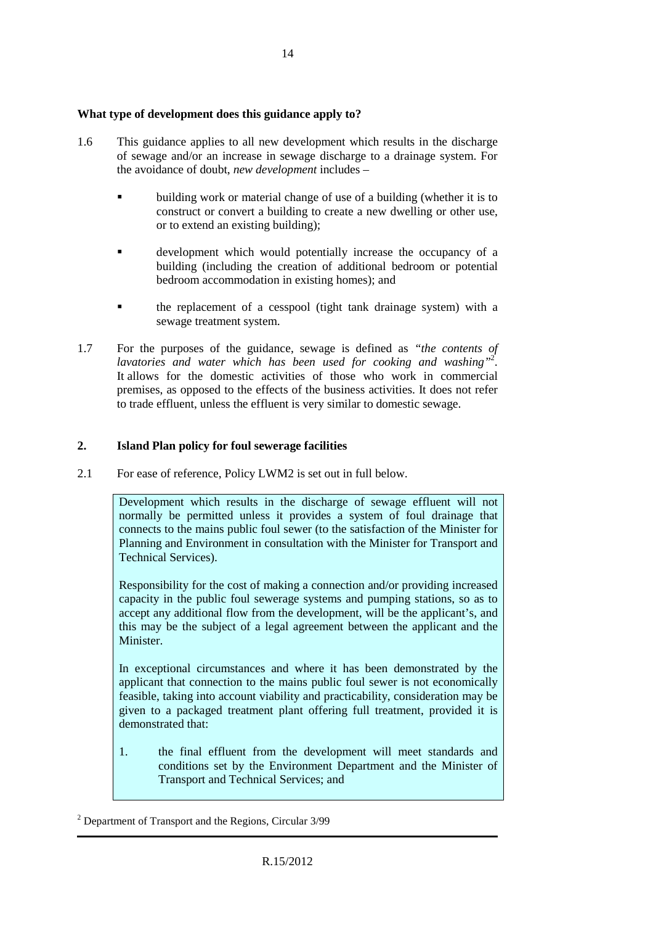#### **What type of development does this guidance apply to?**

- 1.6 This guidance applies to all new development which results in the discharge of sewage and/or an increase in sewage discharge to a drainage system. For the avoidance of doubt, *new development* includes –
	- building work or material change of use of a building (whether it is to construct or convert a building to create a new dwelling or other use, or to extend an existing building);
	- development which would potentially increase the occupancy of a building (including the creation of additional bedroom or potential bedroom accommodation in existing homes); and
	- the replacement of a cesspool (tight tank drainage system) with a sewage treatment system.
- 1.7 For the purposes of the guidance, sewage is defined as *"the contents of lavatories and water which has been used for cooking and washing"*<sup>2</sup> . It allows for the domestic activities of those who work in commercial premises, as opposed to the effects of the business activities. It does not refer to trade effluent, unless the effluent is very similar to domestic sewage.

#### **2. Island Plan policy for foul sewerage facilities**

2.1 For ease of reference, Policy LWM2 is set out in full below.

Development which results in the discharge of sewage effluent will not normally be permitted unless it provides a system of foul drainage that connects to the mains public foul sewer (to the satisfaction of the Minister for Planning and Environment in consultation with the Minister for Transport and Technical Services).

Responsibility for the cost of making a connection and/or providing increased capacity in the public foul sewerage systems and pumping stations, so as to accept any additional flow from the development, will be the applicant's, and this may be the subject of a legal agreement between the applicant and the Minister.

In exceptional circumstances and where it has been demonstrated by the applicant that connection to the mains public foul sewer is not economically feasible, taking into account viability and practicability, consideration may be given to a packaged treatment plant offering full treatment, provided it is demonstrated that:

1. the final effluent from the development will meet standards and conditions set by the Environment Department and the Minister of Transport and Technical Services; and

<sup>&</sup>lt;sup>2</sup> Department of Transport and the Regions, Circular 3/99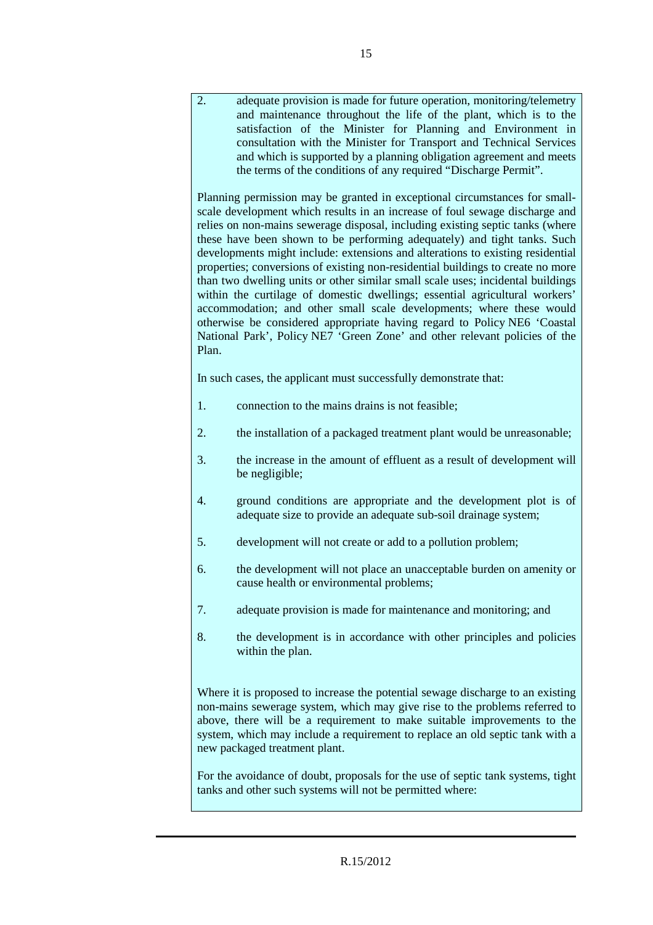2. adequate provision is made for future operation, monitoring/telemetry and maintenance throughout the life of the plant, which is to the satisfaction of the Minister for Planning and Environment in consultation with the Minister for Transport and Technical Services and which is supported by a planning obligation agreement and meets the terms of the conditions of any required "Discharge Permit". Planning permission may be granted in exceptional circumstances for smallscale development which results in an increase of foul sewage discharge and relies on non-mains sewerage disposal, including existing septic tanks (where these have been shown to be performing adequately) and tight tanks. Such developments might include: extensions and alterations to existing residential properties; conversions of existing non-residential buildings to create no more than two dwelling units or other similar small scale uses; incidental buildings within the curtilage of domestic dwellings; essential agricultural workers' accommodation; and other small scale developments; where these would otherwise be considered appropriate having regard to Policy NE6 'Coastal National Park', Policy NE7 'Green Zone' and other relevant policies of the Plan. In such cases, the applicant must successfully demonstrate that: 1. connection to the mains drains is not feasible; 2. the installation of a packaged treatment plant would be unreasonable; 3. the increase in the amount of effluent as a result of development will be negligible; 4. ground conditions are appropriate and the development plot is of adequate size to provide an adequate sub-soil drainage system; 5. development will not create or add to a pollution problem; 6. the development will not place an unacceptable burden on amenity or cause health or environmental problems; 7. adequate provision is made for maintenance and monitoring; and 8. the development is in accordance with other principles and policies within the plan. Where it is proposed to increase the potential sewage discharge to an existing non-mains sewerage system, which may give rise to the problems referred to above, there will be a requirement to make suitable improvements to the system, which may include a requirement to replace an old septic tank with a new packaged treatment plant. For the avoidance of doubt, proposals for the use of septic tank systems, tight tanks and other such systems will not be permitted where: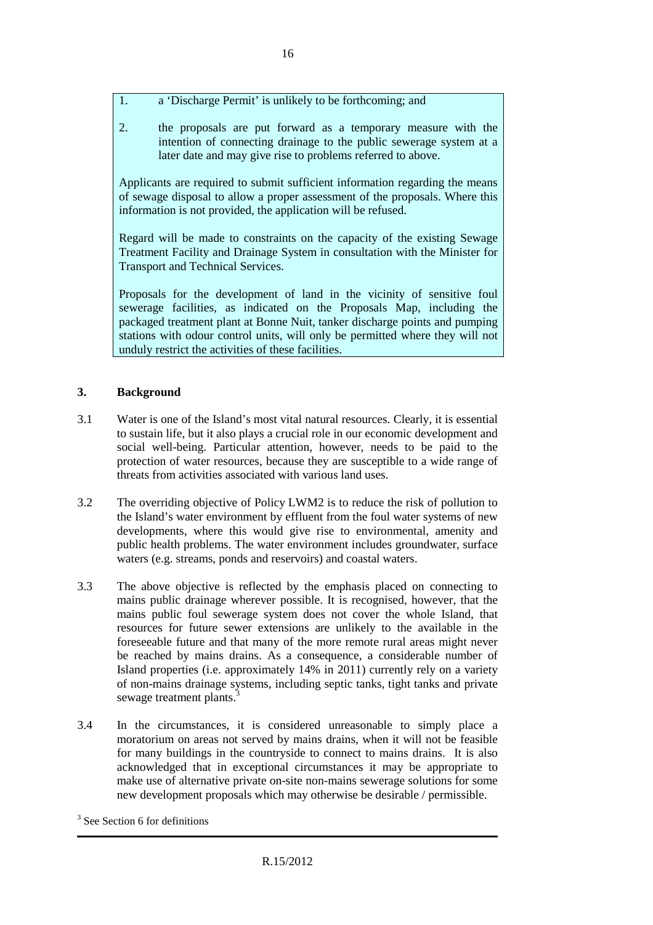- 1. a 'Discharge Permit' is unlikely to be forthcoming; and
- 2. the proposals are put forward as a temporary measure with the intention of connecting drainage to the public sewerage system at a later date and may give rise to problems referred to above.

Applicants are required to submit sufficient information regarding the means of sewage disposal to allow a proper assessment of the proposals. Where this information is not provided, the application will be refused.

Regard will be made to constraints on the capacity of the existing Sewage Treatment Facility and Drainage System in consultation with the Minister for Transport and Technical Services.

Proposals for the development of land in the vicinity of sensitive foul sewerage facilities, as indicated on the Proposals Map, including the packaged treatment plant at Bonne Nuit, tanker discharge points and pumping stations with odour control units, will only be permitted where they will not unduly restrict the activities of these facilities.

#### **3. Background**

- 3.1 Water is one of the Island's most vital natural resources. Clearly, it is essential to sustain life, but it also plays a crucial role in our economic development and social well-being. Particular attention, however, needs to be paid to the protection of water resources, because they are susceptible to a wide range of threats from activities associated with various land uses.
- 3.2 The overriding objective of Policy LWM2 is to reduce the risk of pollution to the Island's water environment by effluent from the foul water systems of new developments, where this would give rise to environmental, amenity and public health problems. The water environment includes groundwater, surface waters (e.g. streams, ponds and reservoirs) and coastal waters.
- 3.3 The above objective is reflected by the emphasis placed on connecting to mains public drainage wherever possible. It is recognised, however, that the mains public foul sewerage system does not cover the whole Island, that resources for future sewer extensions are unlikely to the available in the foreseeable future and that many of the more remote rural areas might never be reached by mains drains. As a consequence, a considerable number of Island properties (i.e. approximately 14% in 2011) currently rely on a variety of non-mains drainage systems, including septic tanks, tight tanks and private sewage treatment plants.<sup>3</sup>
- 3.4 In the circumstances, it is considered unreasonable to simply place a moratorium on areas not served by mains drains, when it will not be feasible for many buildings in the countryside to connect to mains drains. It is also acknowledged that in exceptional circumstances it may be appropriate to make use of alternative private on-site non-mains sewerage solutions for some new development proposals which may otherwise be desirable / permissible.

<sup>&</sup>lt;sup>3</sup> See Section 6 for definitions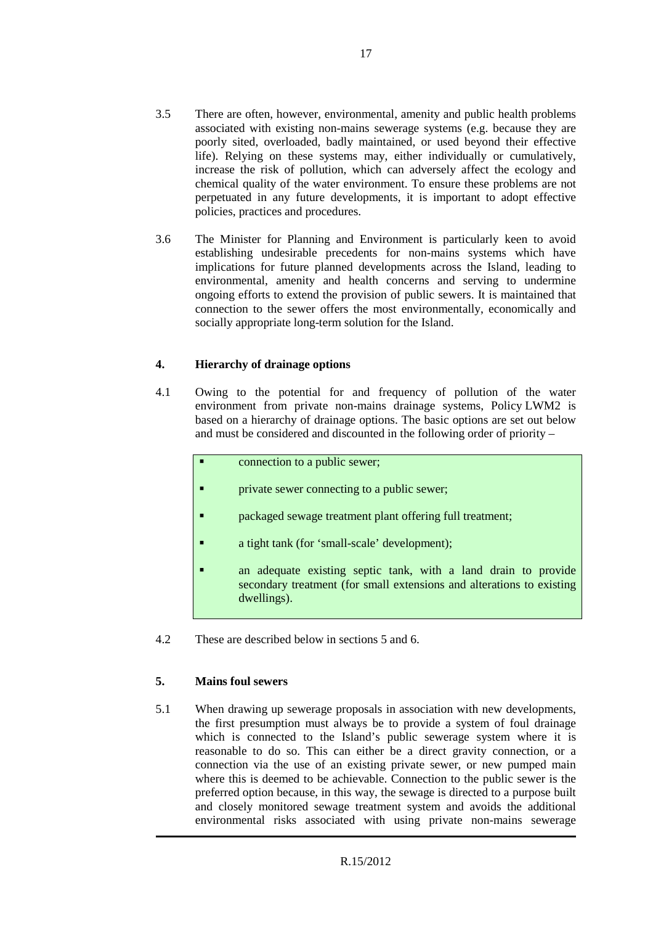- 3.5 There are often, however, environmental, amenity and public health problems associated with existing non-mains sewerage systems (e.g. because they are poorly sited, overloaded, badly maintained, or used beyond their effective life). Relying on these systems may, either individually or cumulatively, increase the risk of pollution, which can adversely affect the ecology and chemical quality of the water environment. To ensure these problems are not perpetuated in any future developments, it is important to adopt effective policies, practices and procedures.
- 3.6 The Minister for Planning and Environment is particularly keen to avoid establishing undesirable precedents for non-mains systems which have implications for future planned developments across the Island, leading to environmental, amenity and health concerns and serving to undermine ongoing efforts to extend the provision of public sewers. It is maintained that connection to the sewer offers the most environmentally, economically and socially appropriate long-term solution for the Island.

#### **4. Hierarchy of drainage options**

- 4.1 Owing to the potential for and frequency of pollution of the water environment from private non-mains drainage systems, Policy LWM2 is based on a hierarchy of drainage options. The basic options are set out below and must be considered and discounted in the following order of priority –
	- connection to a public sewer; **Particle 1** private sewer connecting to a public sewer; packaged sewage treatment plant offering full treatment; a tight tank (for 'small-scale' development); an adequate existing septic tank, with a land drain to provide secondary treatment (for small extensions and alterations to existing dwellings).
- 4.2 These are described below in sections 5 and 6.

#### **5. Mains foul sewers**

5.1 When drawing up sewerage proposals in association with new developments, the first presumption must always be to provide a system of foul drainage which is connected to the Island's public sewerage system where it is reasonable to do so. This can either be a direct gravity connection, or a connection via the use of an existing private sewer, or new pumped main where this is deemed to be achievable. Connection to the public sewer is the preferred option because, in this way, the sewage is directed to a purpose built and closely monitored sewage treatment system and avoids the additional environmental risks associated with using private non-mains sewerage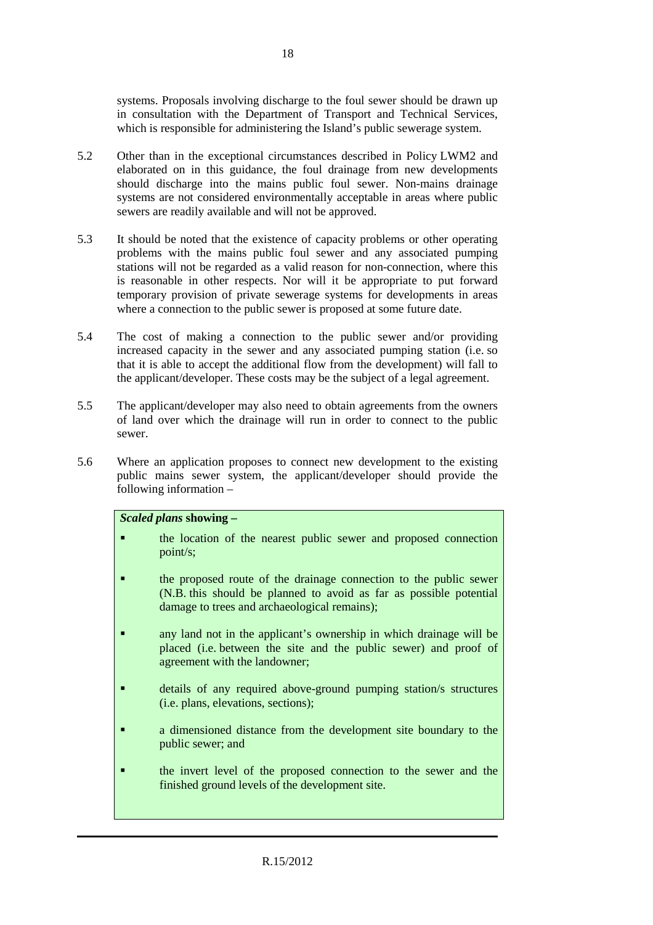systems. Proposals involving discharge to the foul sewer should be drawn up in consultation with the Department of Transport and Technical Services, which is responsible for administering the Island's public sewerage system.

- 5.2 Other than in the exceptional circumstances described in Policy LWM2 and elaborated on in this guidance, the foul drainage from new developments should discharge into the mains public foul sewer. Non-mains drainage systems are not considered environmentally acceptable in areas where public sewers are readily available and will not be approved.
- 5.3 It should be noted that the existence of capacity problems or other operating problems with the mains public foul sewer and any associated pumping stations will not be regarded as a valid reason for non-connection, where this is reasonable in other respects. Nor will it be appropriate to put forward temporary provision of private sewerage systems for developments in areas where a connection to the public sewer is proposed at some future date.
- 5.4 The cost of making a connection to the public sewer and/or providing increased capacity in the sewer and any associated pumping station (i.e. so that it is able to accept the additional flow from the development) will fall to the applicant/developer. These costs may be the subject of a legal agreement.
- 5.5 The applicant/developer may also need to obtain agreements from the owners of land over which the drainage will run in order to connect to the public sewer.
- 5.6 Where an application proposes to connect new development to the existing public mains sewer system, the applicant/developer should provide the following information –

#### *Scaled plans* **showing –**

- **the location of the nearest public sewer and proposed connection** point/s;
- **the proposed route of the drainage connection to the public sewer** (N.B. this should be planned to avoid as far as possible potential damage to trees and archaeological remains);
- **a** any land not in the applicant's ownership in which drainage will be placed (i.e. between the site and the public sewer) and proof of agreement with the landowner;
- details of any required above-ground pumping station/s structures (i.e. plans, elevations, sections);
- a dimensioned distance from the development site boundary to the public sewer; and
- the invert level of the proposed connection to the sewer and the finished ground levels of the development site.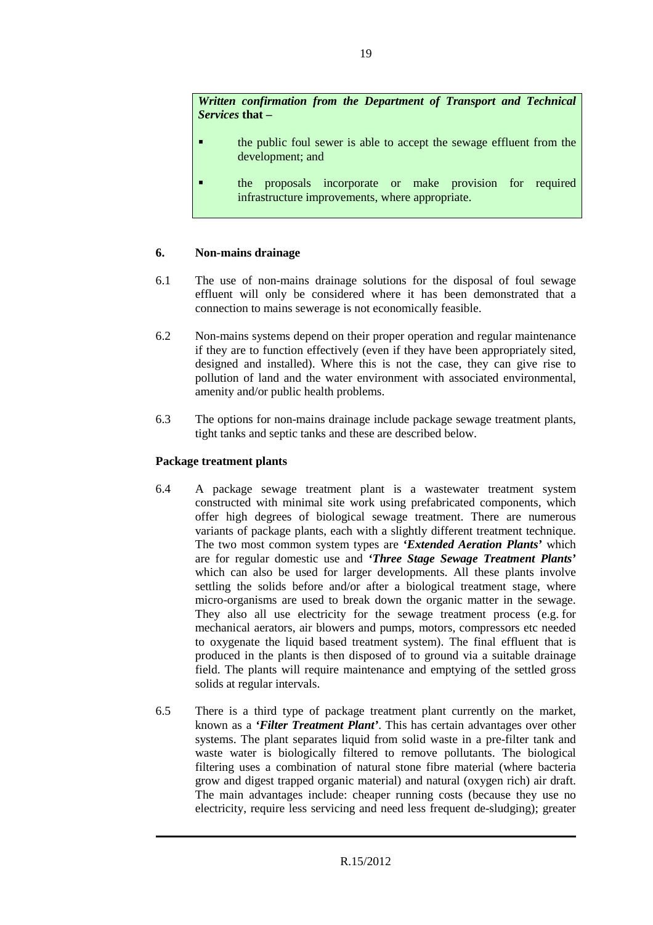*Written confirmation from the Department of Transport and Technical Services* **that –** 

- the public foul sewer is able to accept the sewage effluent from the development; and
- the proposals incorporate or make provision for required infrastructure improvements, where appropriate.

#### **6. Non-mains drainage**

- 6.1 The use of non-mains drainage solutions for the disposal of foul sewage effluent will only be considered where it has been demonstrated that a connection to mains sewerage is not economically feasible.
- 6.2 Non-mains systems depend on their proper operation and regular maintenance if they are to function effectively (even if they have been appropriately sited, designed and installed). Where this is not the case, they can give rise to pollution of land and the water environment with associated environmental, amenity and/or public health problems.
- 6.3 The options for non-mains drainage include package sewage treatment plants, tight tanks and septic tanks and these are described below.

#### **Package treatment plants**

- 6.4 A package sewage treatment plant is a wastewater treatment system constructed with minimal site work using prefabricated components, which offer high degrees of biological sewage treatment. There are numerous variants of package plants, each with a slightly different treatment technique. The two most common system types are *'Extended Aeration Plants'* which are for regular domestic use and *'Three Stage Sewage Treatment Plants'* which can also be used for larger developments. All these plants involve settling the solids before and/or after a biological treatment stage, where micro-organisms are used to break down the organic matter in the sewage. They also all use electricity for the sewage treatment process (e.g. for mechanical aerators, air blowers and pumps, motors, compressors etc needed to oxygenate the liquid based treatment system). The final effluent that is produced in the plants is then disposed of to ground via a suitable drainage field. The plants will require maintenance and emptying of the settled gross solids at regular intervals.
- 6.5 There is a third type of package treatment plant currently on the market, known as a *'Filter Treatment Plant'*. This has certain advantages over other systems. The plant separates liquid from solid waste in a pre-filter tank and waste water is biologically filtered to remove pollutants. The biological filtering uses a combination of natural stone fibre material (where bacteria grow and digest trapped organic material) and natural (oxygen rich) air draft. The main advantages include: cheaper running costs (because they use no electricity, require less servicing and need less frequent de-sludging); greater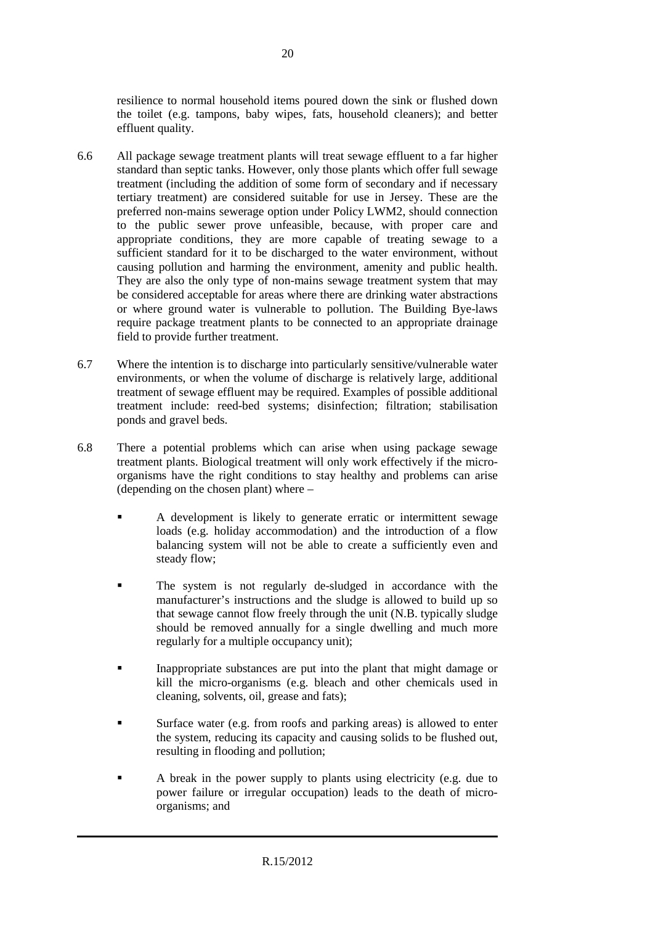resilience to normal household items poured down the sink or flushed down the toilet (e.g. tampons, baby wipes, fats, household cleaners); and better effluent quality.

- 6.6 All package sewage treatment plants will treat sewage effluent to a far higher standard than septic tanks. However, only those plants which offer full sewage treatment (including the addition of some form of secondary and if necessary tertiary treatment) are considered suitable for use in Jersey. These are the preferred non-mains sewerage option under Policy LWM2, should connection to the public sewer prove unfeasible, because, with proper care and appropriate conditions, they are more capable of treating sewage to a sufficient standard for it to be discharged to the water environment, without causing pollution and harming the environment, amenity and public health. They are also the only type of non-mains sewage treatment system that may be considered acceptable for areas where there are drinking water abstractions or where ground water is vulnerable to pollution. The Building Bye-laws require package treatment plants to be connected to an appropriate drainage field to provide further treatment.
- 6.7 Where the intention is to discharge into particularly sensitive/vulnerable water environments, or when the volume of discharge is relatively large, additional treatment of sewage effluent may be required. Examples of possible additional treatment include: reed-bed systems; disinfection; filtration; stabilisation ponds and gravel beds.
- 6.8 There a potential problems which can arise when using package sewage treatment plants. Biological treatment will only work effectively if the microorganisms have the right conditions to stay healthy and problems can arise (depending on the chosen plant) where –
	- A development is likely to generate erratic or intermittent sewage loads (e.g. holiday accommodation) and the introduction of a flow balancing system will not be able to create a sufficiently even and steady flow;
	- The system is not regularly de-sludged in accordance with the manufacturer's instructions and the sludge is allowed to build up so that sewage cannot flow freely through the unit (N.B. typically sludge should be removed annually for a single dwelling and much more regularly for a multiple occupancy unit);
	- Inappropriate substances are put into the plant that might damage or kill the micro-organisms (e.g. bleach and other chemicals used in cleaning, solvents, oil, grease and fats);
	- Surface water (e.g. from roofs and parking areas) is allowed to enter the system, reducing its capacity and causing solids to be flushed out, resulting in flooding and pollution;
	- A break in the power supply to plants using electricity (e.g. due to power failure or irregular occupation) leads to the death of microorganisms; and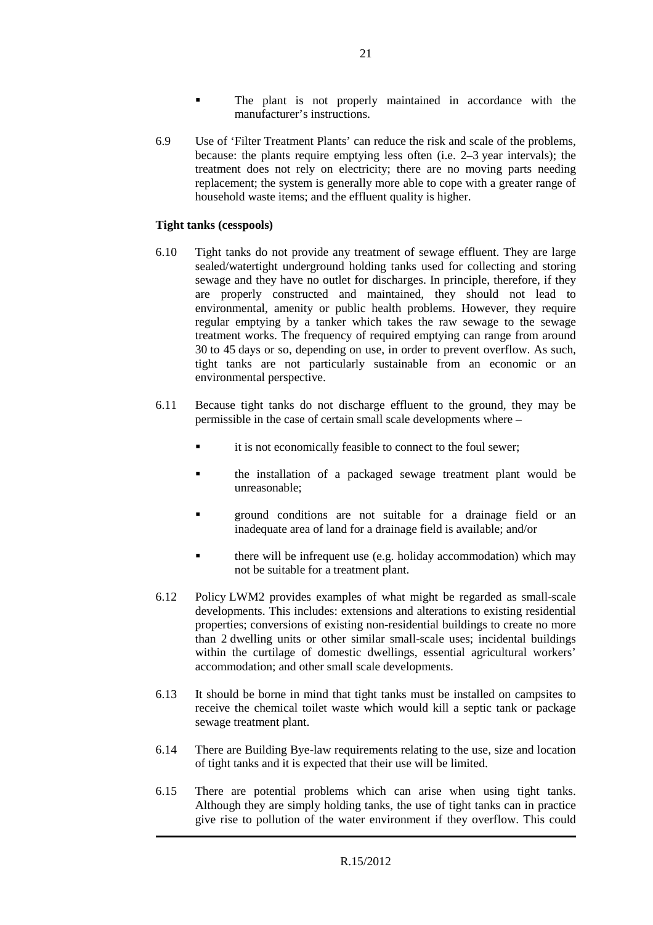- The plant is not properly maintained in accordance with the manufacturer's instructions.
- 6.9 Use of 'Filter Treatment Plants' can reduce the risk and scale of the problems, because: the plants require emptying less often (i.e. 2–3 year intervals); the treatment does not rely on electricity; there are no moving parts needing replacement; the system is generally more able to cope with a greater range of household waste items; and the effluent quality is higher.

#### **Tight tanks (cesspools)**

- 6.10 Tight tanks do not provide any treatment of sewage effluent. They are large sealed/watertight underground holding tanks used for collecting and storing sewage and they have no outlet for discharges. In principle, therefore, if they are properly constructed and maintained, they should not lead to environmental, amenity or public health problems. However, they require regular emptying by a tanker which takes the raw sewage to the sewage treatment works. The frequency of required emptying can range from around 30 to 45 days or so, depending on use, in order to prevent overflow. As such, tight tanks are not particularly sustainable from an economic or an environmental perspective.
- 6.11 Because tight tanks do not discharge effluent to the ground, they may be permissible in the case of certain small scale developments where –
	- it is not economically feasible to connect to the foul sewer;
	- the installation of a packaged sewage treatment plant would be unreasonable;
	- **Example 1** around conditions are not suitable for a drainage field or an inadequate area of land for a drainage field is available; and/or
	- there will be infrequent use (e.g. holiday accommodation) which may not be suitable for a treatment plant.
- 6.12 Policy LWM2 provides examples of what might be regarded as small-scale developments. This includes: extensions and alterations to existing residential properties; conversions of existing non-residential buildings to create no more than 2 dwelling units or other similar small-scale uses; incidental buildings within the curtilage of domestic dwellings, essential agricultural workers' accommodation; and other small scale developments.
- 6.13 It should be borne in mind that tight tanks must be installed on campsites to receive the chemical toilet waste which would kill a septic tank or package sewage treatment plant.
- 6.14 There are Building Bye-law requirements relating to the use, size and location of tight tanks and it is expected that their use will be limited.
- 6.15 There are potential problems which can arise when using tight tanks. Although they are simply holding tanks, the use of tight tanks can in practice give rise to pollution of the water environment if they overflow. This could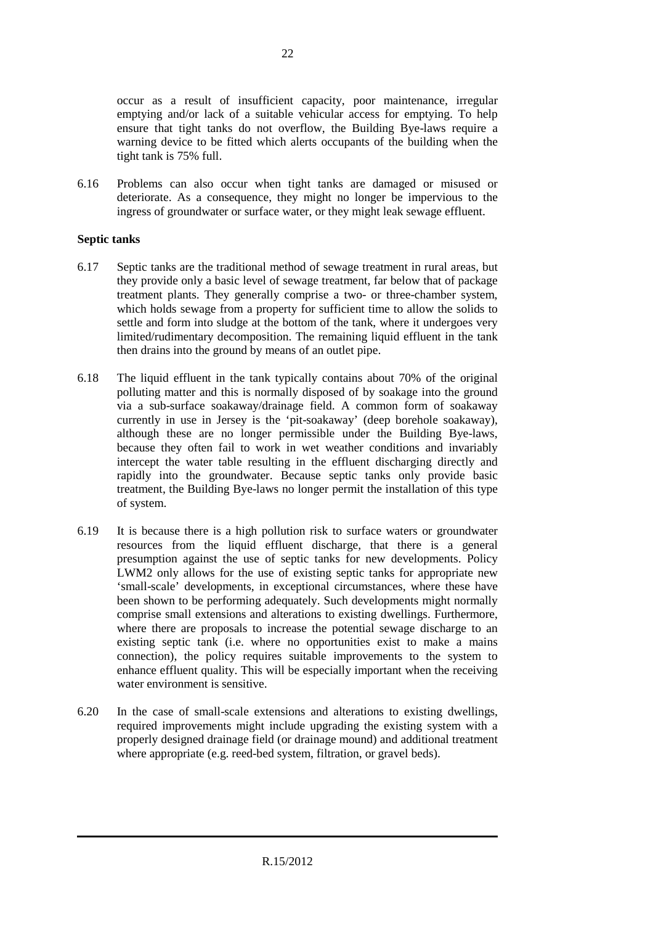occur as a result of insufficient capacity, poor maintenance, irregular emptying and/or lack of a suitable vehicular access for emptying. To help ensure that tight tanks do not overflow, the Building Bye-laws require a warning device to be fitted which alerts occupants of the building when the tight tank is 75% full.

6.16 Problems can also occur when tight tanks are damaged or misused or deteriorate. As a consequence, they might no longer be impervious to the ingress of groundwater or surface water, or they might leak sewage effluent.

#### **Septic tanks**

- 6.17 Septic tanks are the traditional method of sewage treatment in rural areas, but they provide only a basic level of sewage treatment, far below that of package treatment plants. They generally comprise a two- or three-chamber system, which holds sewage from a property for sufficient time to allow the solids to settle and form into sludge at the bottom of the tank, where it undergoes very limited/rudimentary decomposition. The remaining liquid effluent in the tank then drains into the ground by means of an outlet pipe.
- 6.18 The liquid effluent in the tank typically contains about 70% of the original polluting matter and this is normally disposed of by soakage into the ground via a sub-surface soakaway/drainage field. A common form of soakaway currently in use in Jersey is the 'pit-soakaway' (deep borehole soakaway), although these are no longer permissible under the Building Bye-laws, because they often fail to work in wet weather conditions and invariably intercept the water table resulting in the effluent discharging directly and rapidly into the groundwater. Because septic tanks only provide basic treatment, the Building Bye-laws no longer permit the installation of this type of system.
- 6.19 It is because there is a high pollution risk to surface waters or groundwater resources from the liquid effluent discharge, that there is a general presumption against the use of septic tanks for new developments. Policy LWM2 only allows for the use of existing septic tanks for appropriate new 'small-scale' developments, in exceptional circumstances, where these have been shown to be performing adequately. Such developments might normally comprise small extensions and alterations to existing dwellings. Furthermore, where there are proposals to increase the potential sewage discharge to an existing septic tank (i.e. where no opportunities exist to make a mains connection), the policy requires suitable improvements to the system to enhance effluent quality. This will be especially important when the receiving water environment is sensitive.
- 6.20 In the case of small-scale extensions and alterations to existing dwellings, required improvements might include upgrading the existing system with a properly designed drainage field (or drainage mound) and additional treatment where appropriate (e.g. reed-bed system, filtration, or gravel beds).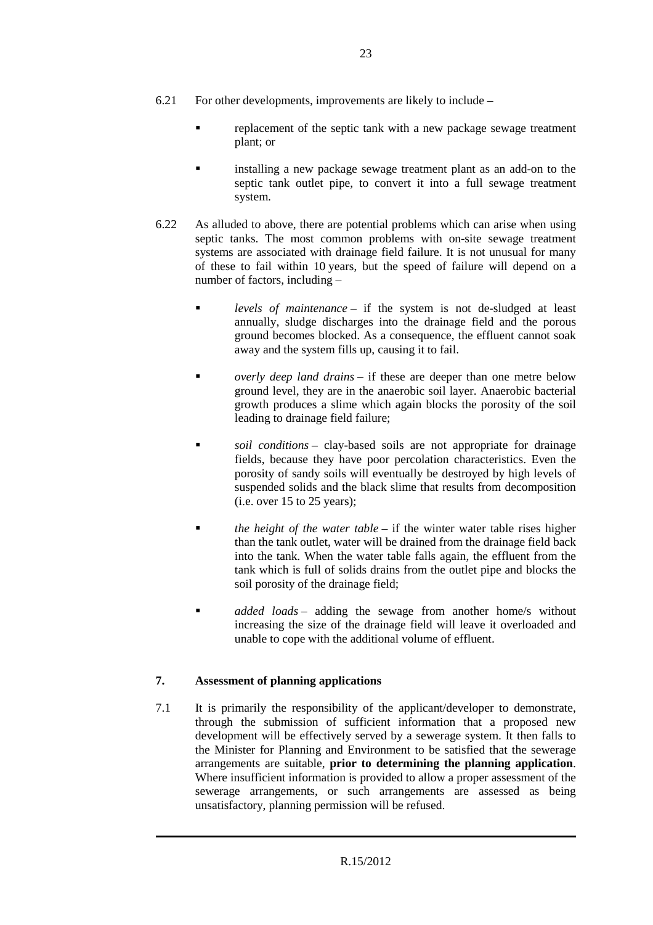- 6.21 For other developments, improvements are likely to include
	- replacement of the septic tank with a new package sewage treatment plant; or
	- installing a new package sewage treatment plant as an add-on to the septic tank outlet pipe, to convert it into a full sewage treatment system.
- 6.22 As alluded to above, there are potential problems which can arise when using septic tanks. The most common problems with on-site sewage treatment systems are associated with drainage field failure. It is not unusual for many of these to fail within 10 years, but the speed of failure will depend on a number of factors, including –
	- *levels of maintenance* if the system is not de-sludged at least annually, sludge discharges into the drainage field and the porous ground becomes blocked. As a consequence, the effluent cannot soak away and the system fills up, causing it to fail.
	- *overly deep land drains* if these are deeper than one metre below ground level, they are in the anaerobic soil layer. Anaerobic bacterial growth produces a slime which again blocks the porosity of the soil leading to drainage field failure;
	- *soil conditions* clay-based soils are not appropriate for drainage fields, because they have poor percolation characteristics. Even the porosity of sandy soils will eventually be destroyed by high levels of suspended solids and the black slime that results from decomposition  $(i.e. over 15 to 25 years):$
	- *the height of the water table* if the winter water table rises higher than the tank outlet, water will be drained from the drainage field back into the tank. When the water table falls again, the effluent from the tank which is full of solids drains from the outlet pipe and blocks the soil porosity of the drainage field;
	- **a** *added loads* adding the sewage from another home/s without increasing the size of the drainage field will leave it overloaded and unable to cope with the additional volume of effluent.

#### **7. Assessment of planning applications**

7.1 It is primarily the responsibility of the applicant/developer to demonstrate, through the submission of sufficient information that a proposed new development will be effectively served by a sewerage system. It then falls to the Minister for Planning and Environment to be satisfied that the sewerage arrangements are suitable, **prior to determining the planning application**. Where insufficient information is provided to allow a proper assessment of the sewerage arrangements, or such arrangements are assessed as being unsatisfactory, planning permission will be refused.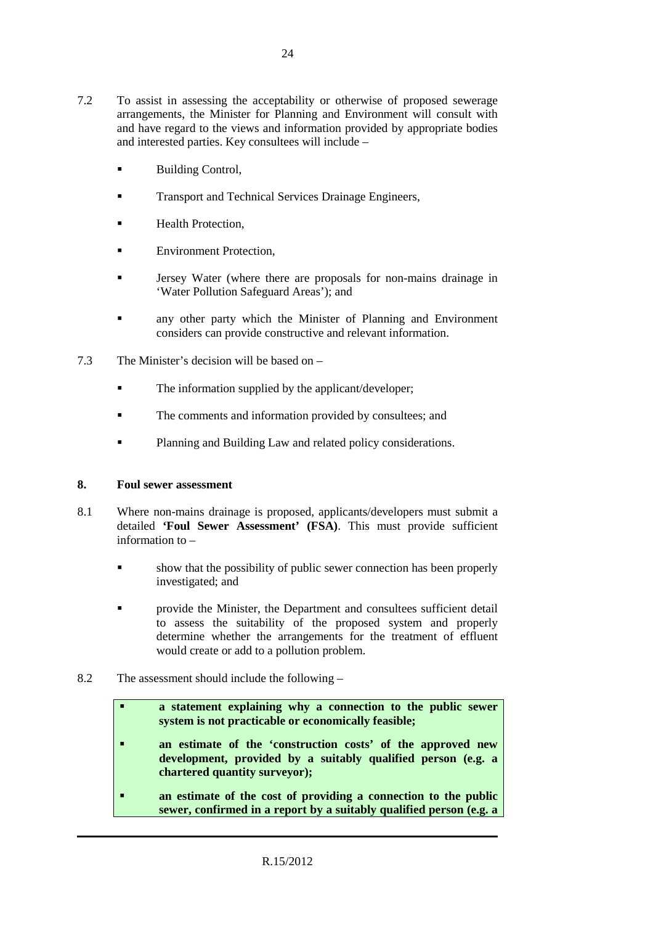- 7.2 To assist in assessing the acceptability or otherwise of proposed sewerage arrangements, the Minister for Planning and Environment will consult with and have regard to the views and information provided by appropriate bodies and interested parties. Key consultees will include –
	- Building Control,
	- **Transport and Technical Services Drainage Engineers,**
	- Health Protection,
	- Environment Protection,
	- Jersey Water (where there are proposals for non-mains drainage in 'Water Pollution Safeguard Areas'); and
	- **a** any other party which the Minister of Planning and Environment considers can provide constructive and relevant information.
- 7.3 The Minister's decision will be based on
	- The information supplied by the applicant/developer:
	- The comments and information provided by consultees; and
	- **Planning and Building Law and related policy considerations.**

#### **8. Foul sewer assessment**

- 8.1 Where non-mains drainage is proposed, applicants/developers must submit a detailed **'Foul Sewer Assessment' (FSA)**. This must provide sufficient information to –
	- show that the possibility of public sewer connection has been properly investigated; and
	- **Example 1** provide the Minister, the Department and consultees sufficient detail to assess the suitability of the proposed system and properly determine whether the arrangements for the treatment of effluent would create or add to a pollution problem.
- 8.2 The assessment should include the following
	- **a statement explaining why a connection to the public sewer system is not practicable or economically feasible;**
	- **an estimate of the 'construction costs' of the approved new development, provided by a suitably qualified person (e.g. a chartered quantity surveyor);**
	- **an estimate of the cost of providing a connection to the public sewer, confirmed in a report by a suitably qualified person (e.g. a**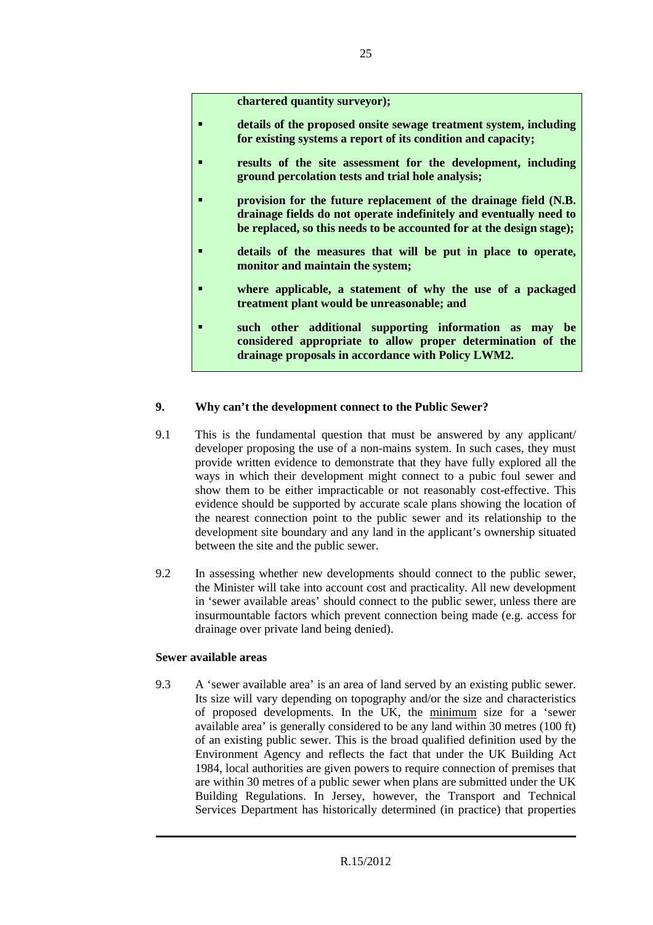**chartered quantity surveyor);** 

- **details of the proposed onsite sewage treatment system, including for existing systems a report of its condition and capacity;**
- **results of the site assessment for the development, including ground percolation tests and trial hole analysis;**
- **provision for the future replacement of the drainage field (N.B. drainage fields do not operate indefinitely and eventually need to be replaced, so this needs to be accounted for at the design stage);**
- **details of the measures that will be put in place to operate, monitor and maintain the system;**
- **where applicable, a statement of why the use of a packaged treatment plant would be unreasonable; and**
- **such other additional supporting information as may be considered appropriate to allow proper determination of the drainage proposals in accordance with Policy LWM2.**

#### **9. Why can't the development connect to the Public Sewer?**

- 9.1 This is the fundamental question that must be answered by any applicant/ developer proposing the use of a non-mains system. In such cases, they must provide written evidence to demonstrate that they have fully explored all the ways in which their development might connect to a pubic foul sewer and show them to be either impracticable or not reasonably cost-effective. This evidence should be supported by accurate scale plans showing the location of the nearest connection point to the public sewer and its relationship to the development site boundary and any land in the applicant's ownership situated between the site and the public sewer.
- 9.2 In assessing whether new developments should connect to the public sewer, the Minister will take into account cost and practicality. All new development in 'sewer available areas' should connect to the public sewer, unless there are insurmountable factors which prevent connection being made (e.g. access for drainage over private land being denied).

#### **Sewer available areas**

9.3 A 'sewer available area' is an area of land served by an existing public sewer. Its size will vary depending on topography and/or the size and characteristics of proposed developments. In the UK, the minimum size for a 'sewer available area' is generally considered to be any land within 30 metres (100 ft) of an existing public sewer. This is the broad qualified definition used by the Environment Agency and reflects the fact that under the UK Building Act 1984, local authorities are given powers to require connection of premises that are within 30 metres of a public sewer when plans are submitted under the UK Building Regulations. In Jersey, however, the Transport and Technical Services Department has historically determined (in practice) that properties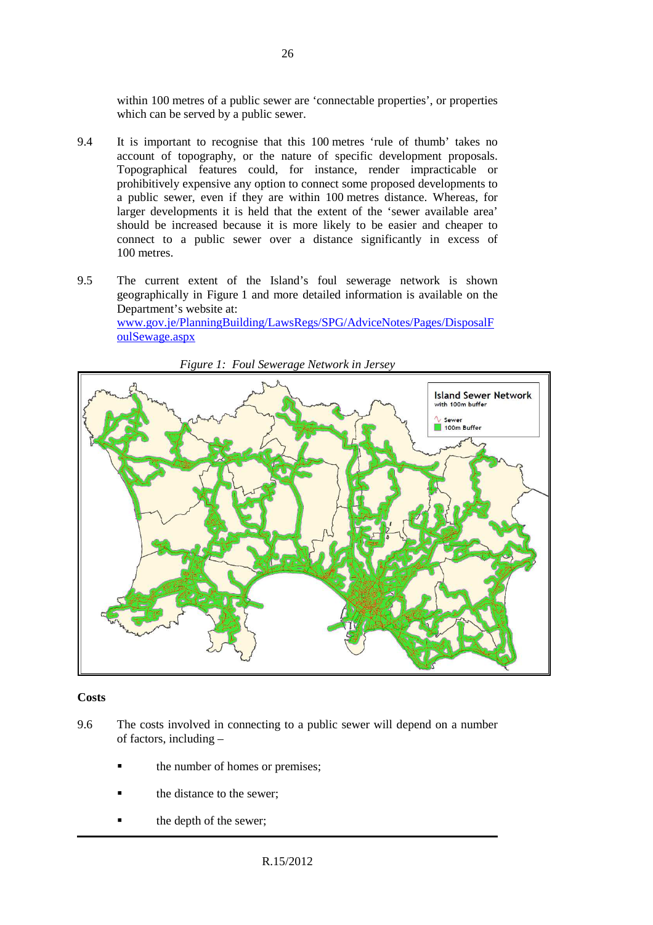within 100 metres of a public sewer are 'connectable properties', or properties which can be served by a public sewer.

- 9.4 It is important to recognise that this 100 metres 'rule of thumb' takes no account of topography, or the nature of specific development proposals. Topographical features could, for instance, render impracticable or prohibitively expensive any option to connect some proposed developments to a public sewer, even if they are within 100 metres distance. Whereas, for larger developments it is held that the extent of the 'sewer available area' should be increased because it is more likely to be easier and cheaper to connect to a public sewer over a distance significantly in excess of 100 metres.
- 9.5 The current extent of the Island's foul sewerage network is shown geographically in Figure 1 and more detailed information is available on the Department's website at: www.gov.je/PlanningBuilding/LawsRegs/SPG/AdviceNotes/Pages/DisposalF oulSewage.aspx



*Figure 1: Foul Sewerage Network in Jersey* 

#### **Costs**

- 9.6 The costs involved in connecting to a public sewer will depend on a number of factors, including –
	- the number of homes or premises;
	- the distance to the sewer;
	- the depth of the sewer;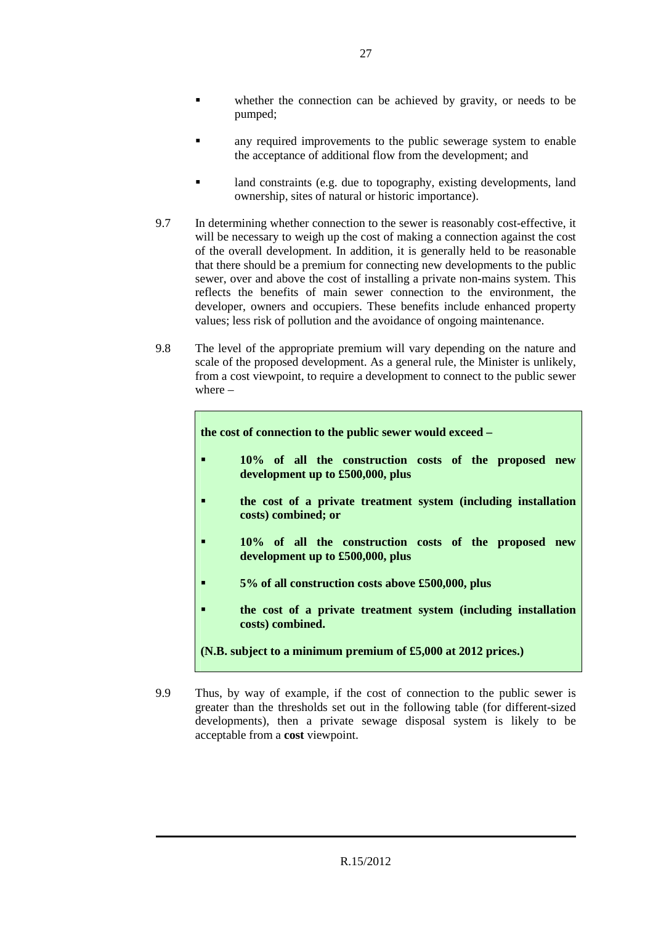- any required improvements to the public sewerage system to enable the acceptance of additional flow from the development; and
- land constraints (e.g. due to topography, existing developments, land ownership, sites of natural or historic importance).
- 9.7 In determining whether connection to the sewer is reasonably cost-effective, it will be necessary to weigh up the cost of making a connection against the cost of the overall development. In addition, it is generally held to be reasonable that there should be a premium for connecting new developments to the public sewer, over and above the cost of installing a private non-mains system. This reflects the benefits of main sewer connection to the environment, the developer, owners and occupiers. These benefits include enhanced property values; less risk of pollution and the avoidance of ongoing maintenance.
- 9.8 The level of the appropriate premium will vary depending on the nature and scale of the proposed development. As a general rule, the Minister is unlikely, from a cost viewpoint, to require a development to connect to the public sewer where –

**the cost of connection to the public sewer would exceed –** 

- **10% of all the construction costs of the proposed new development up to £500,000, plus**
- **the cost of a private treatment system (including installation costs) combined; or**
- **10% of all the construction costs of the proposed new development up to £500,000, plus**
- **5% of all construction costs above £500,000, plus**
- **the cost of a private treatment system (including installation costs) combined.**
- **(N.B. subject to a minimum premium of £5,000 at 2012 prices.)**
- 9.9 Thus, by way of example, if the cost of connection to the public sewer is greater than the thresholds set out in the following table (for different-sized developments), then a private sewage disposal system is likely to be acceptable from a **cost** viewpoint.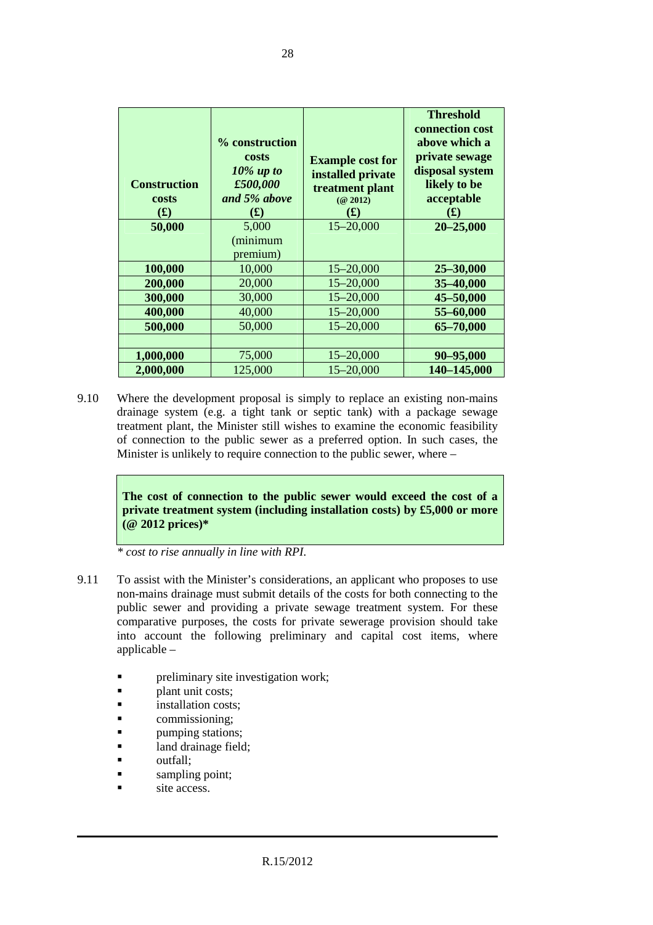| <b>Construction</b><br>costs<br>$\mathbf{f}(\mathbf{f})$<br>50,000 | % construction<br>costs<br>$10\%$ up to<br>£500,000<br>and 5% above<br>$\mathbf{f}(\mathbf{f})$<br>5,000<br>(minimum<br>premium) | <b>Example cost for</b><br>installed private<br>treatment plant<br>(Q 2012)<br>$\mathbf{f}(\mathbf{f})$<br>$15 - 20,000$ | <b>Threshold</b><br>connection cost<br>above which a<br>private sewage<br>disposal system<br>likely to be<br>acceptable<br>(L)<br>$20 - 25,000$ |
|--------------------------------------------------------------------|----------------------------------------------------------------------------------------------------------------------------------|--------------------------------------------------------------------------------------------------------------------------|-------------------------------------------------------------------------------------------------------------------------------------------------|
| 100,000                                                            | 10,000                                                                                                                           | $15 - 20,000$                                                                                                            | 25-30,000                                                                                                                                       |
| 200,000                                                            | 20,000                                                                                                                           | $15 - 20,000$                                                                                                            | 35-40,000                                                                                                                                       |
| 300,000                                                            | 30,000                                                                                                                           | $15 - 20,000$                                                                                                            | 45-50,000                                                                                                                                       |
| 400,000                                                            | 40,000                                                                                                                           | $15 - 20,000$                                                                                                            | 55-60,000                                                                                                                                       |
| 500,000                                                            | 50,000                                                                                                                           | $15 - 20,000$                                                                                                            | 65-70,000                                                                                                                                       |
|                                                                    |                                                                                                                                  |                                                                                                                          |                                                                                                                                                 |
| 1,000,000                                                          | 75,000                                                                                                                           | $15 - 20,000$                                                                                                            | 90-95,000                                                                                                                                       |
| 2,000,000                                                          | 125,000                                                                                                                          | $15 - 20,000$                                                                                                            | 140-145,000                                                                                                                                     |

9.10 Where the development proposal is simply to replace an existing non-mains drainage system (e.g. a tight tank or septic tank) with a package sewage treatment plant, the Minister still wishes to examine the economic feasibility of connection to the public sewer as a preferred option. In such cases, the Minister is unlikely to require connection to the public sewer, where –

> **The cost of connection to the public sewer would exceed the cost of a private treatment system (including installation costs) by £5,000 or more (@ 2012 prices)\***

*\* cost to rise annually in line with RPI.*

- 9.11 To assist with the Minister's considerations, an applicant who proposes to use non-mains drainage must submit details of the costs for both connecting to the public sewer and providing a private sewage treatment system. For these comparative purposes, the costs for private sewerage provision should take into account the following preliminary and capital cost items, where applicable –
	- preliminary site investigation work;
	- plant unit costs;
	- **installation costs:**
	- commissioning;
	- pumping stations;
	- land drainage field;
	- outfall;
	- sampling point;
	- site access.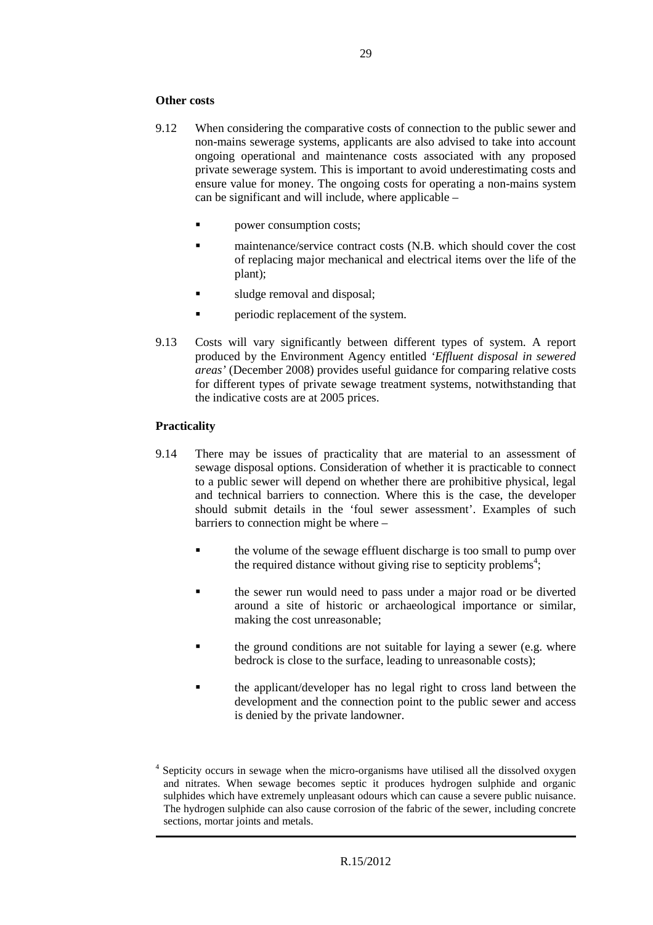#### **Other costs**

- 9.12 When considering the comparative costs of connection to the public sewer and non-mains sewerage systems, applicants are also advised to take into account ongoing operational and maintenance costs associated with any proposed private sewerage system. This is important to avoid underestimating costs and ensure value for money. The ongoing costs for operating a non-mains system can be significant and will include, where applicable –
	- power consumption costs;
	- maintenance/service contract costs (N.B. which should cover the cost of replacing major mechanical and electrical items over the life of the plant);
	- sludge removal and disposal;
	- periodic replacement of the system.
- 9.13 Costs will vary significantly between different types of system. A report produced by the Environment Agency entitled *'Effluent disposal in sewered areas'* (December 2008) provides useful guidance for comparing relative costs for different types of private sewage treatment systems, notwithstanding that the indicative costs are at 2005 prices.

#### **Practicality**

- 9.14 There may be issues of practicality that are material to an assessment of sewage disposal options. Consideration of whether it is practicable to connect to a public sewer will depend on whether there are prohibitive physical, legal and technical barriers to connection. Where this is the case, the developer should submit details in the 'foul sewer assessment'. Examples of such barriers to connection might be where –
	- the volume of the sewage effluent discharge is too small to pump over the required distance without giving rise to septicity problems<sup>4</sup>;
	- the sewer run would need to pass under a major road or be diverted around a site of historic or archaeological importance or similar, making the cost unreasonable;
	- the ground conditions are not suitable for laying a sewer (e.g. where bedrock is close to the surface, leading to unreasonable costs);
	- the applicant/developer has no legal right to cross land between the development and the connection point to the public sewer and access is denied by the private landowner.

<sup>&</sup>lt;sup>4</sup> Septicity occurs in sewage when the micro-organisms have utilised all the dissolved oxygen and nitrates. When sewage becomes septic it produces hydrogen sulphide and organic sulphides which have extremely unpleasant odours which can cause a severe public nuisance. The hydrogen sulphide can also cause corrosion of the fabric of the sewer, including concrete sections, mortar joints and metals.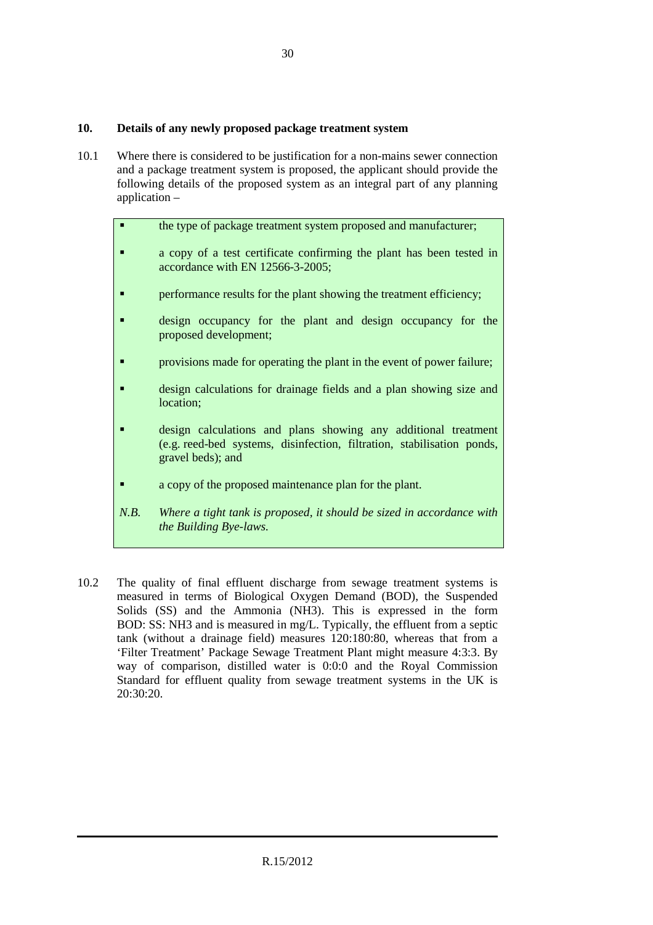#### **10. Details of any newly proposed package treatment system**

10.1 Where there is considered to be justification for a non-mains sewer connection and a package treatment system is proposed, the applicant should provide the following details of the proposed system as an integral part of any planning application –

|      | the type of package treatment system proposed and manufacturer;                                                                                               |
|------|---------------------------------------------------------------------------------------------------------------------------------------------------------------|
|      | a copy of a test certificate confirming the plant has been tested in<br>accordance with EN 12566-3-2005;                                                      |
|      | performance results for the plant showing the treatment efficiency;                                                                                           |
|      | design occupancy for the plant and design occupancy for the<br>proposed development;                                                                          |
|      | provisions made for operating the plant in the event of power failure;                                                                                        |
|      | design calculations for drainage fields and a plan showing size and<br>location;                                                                              |
|      | design calculations and plans showing any additional treatment<br>(e.g. reed-bed systems, disinfection, filtration, stabilisation ponds,<br>gravel beds); and |
|      | a copy of the proposed maintenance plan for the plant.                                                                                                        |
| N.B. | Where a tight tank is proposed, it should be sized in accordance with<br>the Building Bye-laws.                                                               |

10.2 The quality of final effluent discharge from sewage treatment systems is measured in terms of Biological Oxygen Demand (BOD), the Suspended Solids (SS) and the Ammonia (NH3). This is expressed in the form BOD: SS: NH3 and is measured in mg/L. Typically, the effluent from a septic tank (without a drainage field) measures 120:180:80, whereas that from a 'Filter Treatment' Package Sewage Treatment Plant might measure 4:3:3. By way of comparison, distilled water is 0:0:0 and the Royal Commission Standard for effluent quality from sewage treatment systems in the UK is 20:30:20.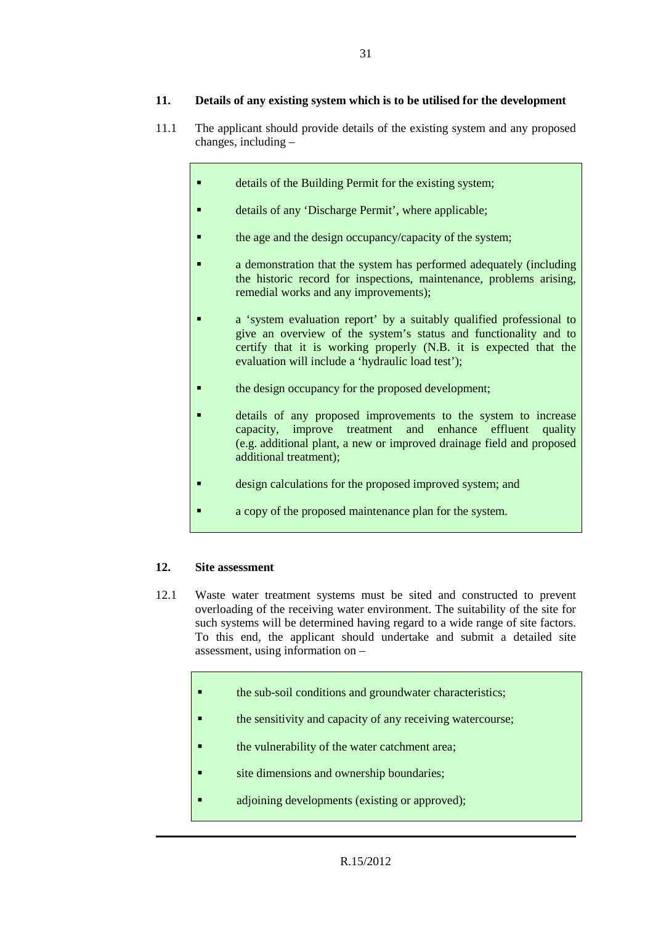#### **11. Details of any existing system which is to be utilised for the development**

- 11.1 The applicant should provide details of the existing system and any proposed changes, including –
	- details of the Building Permit for the existing system;
		- details of any 'Discharge Permit', where applicable;
	- the age and the design occupancy/capacity of the system;
	- a demonstration that the system has performed adequately (including the historic record for inspections, maintenance, problems arising, remedial works and any improvements);
	- a 'system evaluation report' by a suitably qualified professional to give an overview of the system's status and functionality and to certify that it is working properly (N.B. it is expected that the evaluation will include a 'hydraulic load test');
	- the design occupancy for the proposed development;
	- details of any proposed improvements to the system to increase capacity, improve treatment and enhance effluent quality (e.g. additional plant, a new or improved drainage field and proposed additional treatment);
	- design calculations for the proposed improved system; and
	- a copy of the proposed maintenance plan for the system.

#### **12. Site assessment**

- 12.1 Waste water treatment systems must be sited and constructed to prevent overloading of the receiving water environment. The suitability of the site for such systems will be determined having regard to a wide range of site factors. To this end, the applicant should undertake and submit a detailed site assessment, using information on –
	- the sub-soil conditions and groundwater characteristics;
	- the sensitivity and capacity of any receiving watercourse;
	- the vulnerability of the water catchment area;
	- site dimensions and ownership boundaries;
	- adjoining developments (existing or approved);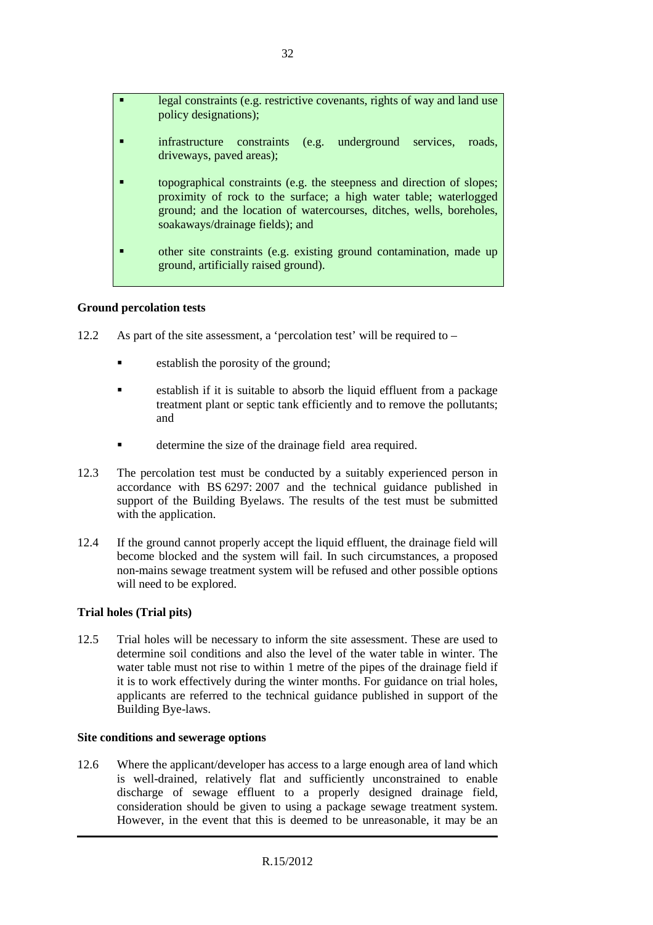| п | legal constraints (e.g. restrictive covenants, rights of way and land use<br>policy designations);                                                                                                                                                     |
|---|--------------------------------------------------------------------------------------------------------------------------------------------------------------------------------------------------------------------------------------------------------|
|   | infrastructure constraints (e.g. underground services,<br>roads.<br>driveways, paved areas);                                                                                                                                                           |
|   | topographical constraints (e.g. the steepness and direction of slopes;<br>proximity of rock to the surface; a high water table; waterlogged<br>ground; and the location of watercourses, ditches, wells, boreholes,<br>soakaways/drainage fields); and |
|   | other site constraints (e.g. existing ground contamination, made up<br>ground, artificially raised ground).                                                                                                                                            |

#### **Ground percolation tests**

- 12.2 As part of the site assessment, a 'percolation test' will be required to
	- establish the porosity of the ground;
	- establish if it is suitable to absorb the liquid effluent from a package treatment plant or septic tank efficiently and to remove the pollutants; and
	- determine the size of the drainage field area required.
- 12.3 The percolation test must be conducted by a suitably experienced person in accordance with BS 6297: 2007 and the technical guidance published in support of the Building Byelaws. The results of the test must be submitted with the application.
- 12.4 If the ground cannot properly accept the liquid effluent, the drainage field will become blocked and the system will fail. In such circumstances, a proposed non-mains sewage treatment system will be refused and other possible options will need to be explored.

#### **Trial holes (Trial pits)**

12.5 Trial holes will be necessary to inform the site assessment. These are used to determine soil conditions and also the level of the water table in winter. The water table must not rise to within 1 metre of the pipes of the drainage field if it is to work effectively during the winter months. For guidance on trial holes, applicants are referred to the technical guidance published in support of the Building Bye-laws.

#### **Site conditions and sewerage options**

12.6 Where the applicant/developer has access to a large enough area of land which is well-drained, relatively flat and sufficiently unconstrained to enable discharge of sewage effluent to a properly designed drainage field, consideration should be given to using a package sewage treatment system. However, in the event that this is deemed to be unreasonable, it may be an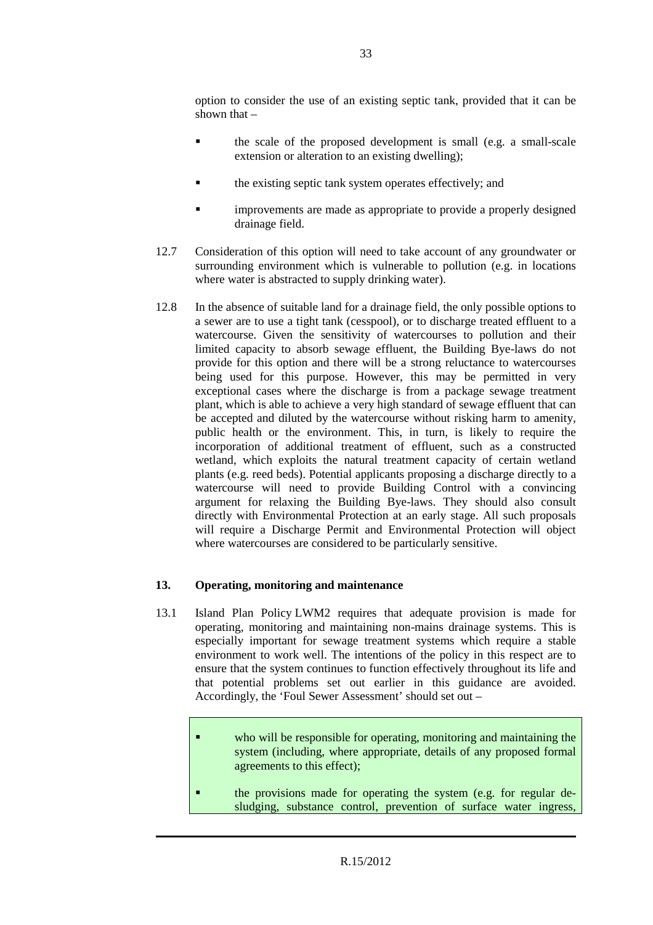option to consider the use of an existing septic tank, provided that it can be shown that –

- the scale of the proposed development is small (e.g. a small-scale extension or alteration to an existing dwelling);
- the existing septic tank system operates effectively; and
- improvements are made as appropriate to provide a properly designed drainage field.
- 12.7 Consideration of this option will need to take account of any groundwater or surrounding environment which is vulnerable to pollution (e.g. in locations where water is abstracted to supply drinking water).
- 12.8 In the absence of suitable land for a drainage field, the only possible options to a sewer are to use a tight tank (cesspool), or to discharge treated effluent to a watercourse. Given the sensitivity of watercourses to pollution and their limited capacity to absorb sewage effluent, the Building Bye-laws do not provide for this option and there will be a strong reluctance to watercourses being used for this purpose. However, this may be permitted in very exceptional cases where the discharge is from a package sewage treatment plant, which is able to achieve a very high standard of sewage effluent that can be accepted and diluted by the watercourse without risking harm to amenity, public health or the environment. This, in turn, is likely to require the incorporation of additional treatment of effluent, such as a constructed wetland, which exploits the natural treatment capacity of certain wetland plants (e.g. reed beds). Potential applicants proposing a discharge directly to a watercourse will need to provide Building Control with a convincing argument for relaxing the Building Bye-laws. They should also consult directly with Environmental Protection at an early stage. All such proposals will require a Discharge Permit and Environmental Protection will object where watercourses are considered to be particularly sensitive.

#### **13. Operating, monitoring and maintenance**

- 13.1 Island Plan Policy LWM2 requires that adequate provision is made for operating, monitoring and maintaining non-mains drainage systems. This is especially important for sewage treatment systems which require a stable environment to work well. The intentions of the policy in this respect are to ensure that the system continues to function effectively throughout its life and that potential problems set out earlier in this guidance are avoided. Accordingly, the 'Foul Sewer Assessment' should set out –
	- who will be responsible for operating, monitoring and maintaining the system (including, where appropriate, details of any proposed formal agreements to this effect);
	- the provisions made for operating the system (e.g. for regular desludging, substance control, prevention of surface water ingress,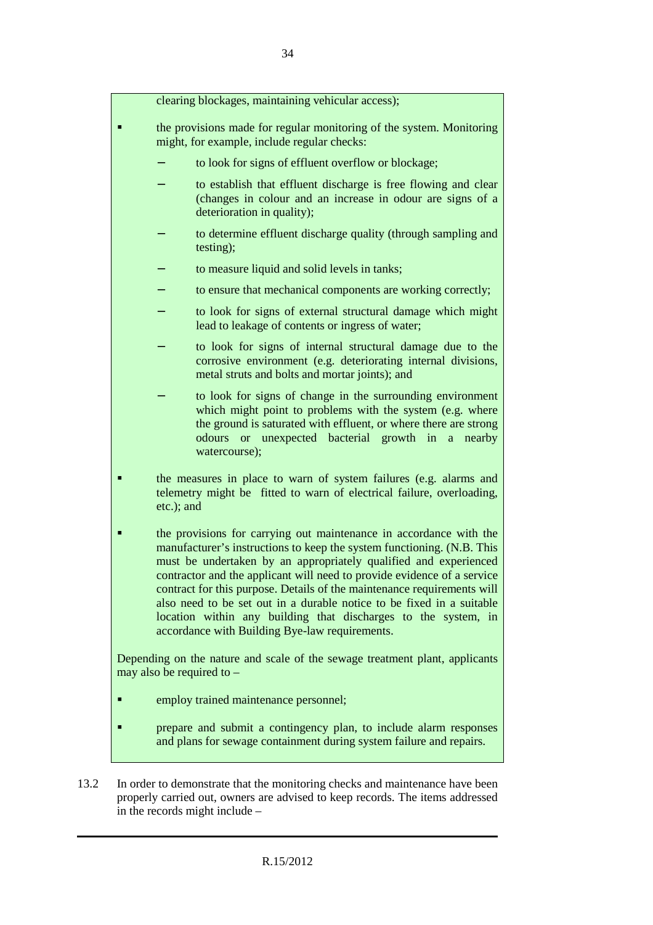|            | clearing blockages, maintaining vehicular access);                                                                                                                                                                                                                                                                                                                                                                                                                                                                                                                  |
|------------|---------------------------------------------------------------------------------------------------------------------------------------------------------------------------------------------------------------------------------------------------------------------------------------------------------------------------------------------------------------------------------------------------------------------------------------------------------------------------------------------------------------------------------------------------------------------|
|            | the provisions made for regular monitoring of the system. Monitoring<br>might, for example, include regular checks:                                                                                                                                                                                                                                                                                                                                                                                                                                                 |
|            | to look for signs of effluent overflow or blockage;                                                                                                                                                                                                                                                                                                                                                                                                                                                                                                                 |
|            | to establish that effluent discharge is free flowing and clear<br>(changes in colour and an increase in odour are signs of a<br>deterioration in quality);                                                                                                                                                                                                                                                                                                                                                                                                          |
|            | to determine effluent discharge quality (through sampling and<br>testing);                                                                                                                                                                                                                                                                                                                                                                                                                                                                                          |
|            | to measure liquid and solid levels in tanks;                                                                                                                                                                                                                                                                                                                                                                                                                                                                                                                        |
|            | to ensure that mechanical components are working correctly;                                                                                                                                                                                                                                                                                                                                                                                                                                                                                                         |
|            | to look for signs of external structural damage which might<br>lead to leakage of contents or ingress of water;                                                                                                                                                                                                                                                                                                                                                                                                                                                     |
|            | to look for signs of internal structural damage due to the<br>corrosive environment (e.g. deteriorating internal divisions,<br>metal struts and bolts and mortar joints); and                                                                                                                                                                                                                                                                                                                                                                                       |
|            | to look for signs of change in the surrounding environment<br>which might point to problems with the system (e.g. where<br>the ground is saturated with effluent, or where there are strong<br>odours or unexpected bacterial growth in a nearby<br>watercourse);                                                                                                                                                                                                                                                                                                   |
| etc.); and | the measures in place to warn of system failures (e.g. alarms and<br>telemetry might be fitted to warn of electrical failure, overloading,                                                                                                                                                                                                                                                                                                                                                                                                                          |
|            | the provisions for carrying out maintenance in accordance with the<br>manufacturer's instructions to keep the system functioning. (N.B. This<br>must be undertaken by an appropriately qualified and experienced<br>contractor and the applicant will need to provide evidence of a service<br>contract for this purpose. Details of the maintenance requirements will<br>also need to be set out in a durable notice to be fixed in a suitable<br>location within any building that discharges to the system, in<br>accordance with Building Bye-law requirements. |
|            | Depending on the nature and scale of the sewage treatment plant, applicants<br>may also be required to $-$                                                                                                                                                                                                                                                                                                                                                                                                                                                          |
|            | employ trained maintenance personnel;                                                                                                                                                                                                                                                                                                                                                                                                                                                                                                                               |
|            | prepare and submit a contingency plan, to include alarm responses<br>and plans for sewage containment during system failure and repairs.                                                                                                                                                                                                                                                                                                                                                                                                                            |
|            |                                                                                                                                                                                                                                                                                                                                                                                                                                                                                                                                                                     |

13.2 In order to demonstrate that the monitoring checks and maintenance have been properly carried out, owners are advised to keep records. The items addressed in the records might include –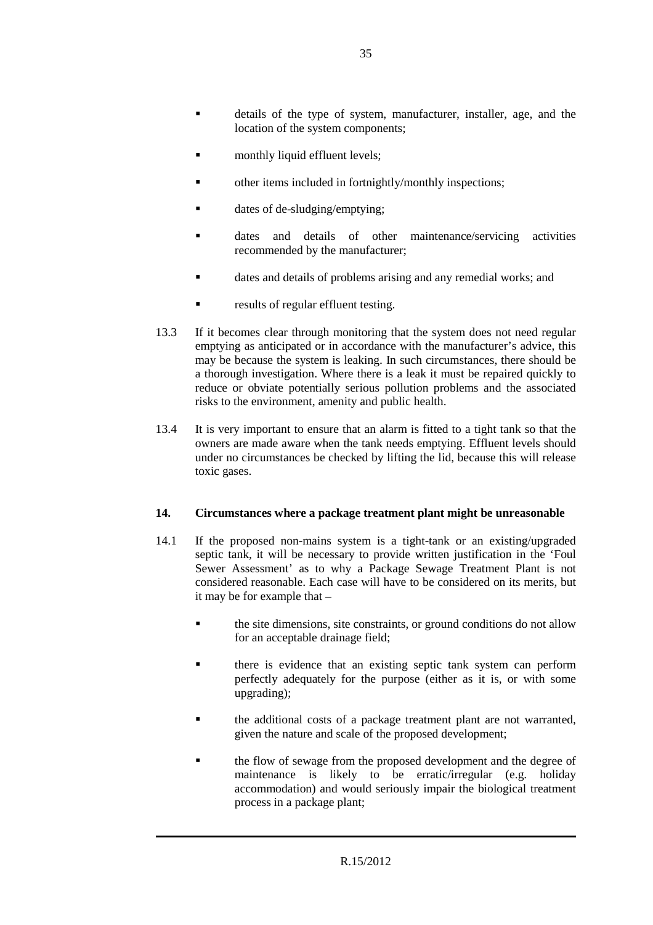- details of the type of system, manufacturer, installer, age, and the location of the system components;
- monthly liquid effluent levels;
- other items included in fortnightly/monthly inspections;
- dates of de-sludging/emptying;
- dates and details of other maintenance/servicing activities recommended by the manufacturer;
- dates and details of problems arising and any remedial works; and
- results of regular effluent testing.
- 13.3 If it becomes clear through monitoring that the system does not need regular emptying as anticipated or in accordance with the manufacturer's advice, this may be because the system is leaking. In such circumstances, there should be a thorough investigation. Where there is a leak it must be repaired quickly to reduce or obviate potentially serious pollution problems and the associated risks to the environment, amenity and public health.
- 13.4 It is very important to ensure that an alarm is fitted to a tight tank so that the owners are made aware when the tank needs emptying. Effluent levels should under no circumstances be checked by lifting the lid, because this will release toxic gases.

#### **14. Circumstances where a package treatment plant might be unreasonable**

- 14.1 If the proposed non-mains system is a tight-tank or an existing/upgraded septic tank, it will be necessary to provide written justification in the 'Foul Sewer Assessment' as to why a Package Sewage Treatment Plant is not considered reasonable. Each case will have to be considered on its merits, but it may be for example that –
	- the site dimensions, site constraints, or ground conditions do not allow for an acceptable drainage field;
	- **there** is evidence that an existing septic tank system can perform perfectly adequately for the purpose (either as it is, or with some upgrading);
	- the additional costs of a package treatment plant are not warranted, given the nature and scale of the proposed development;
	- **the flow of sewage from the proposed development and the degree of** maintenance is likely to be erratic/irregular (e.g. holiday accommodation) and would seriously impair the biological treatment process in a package plant;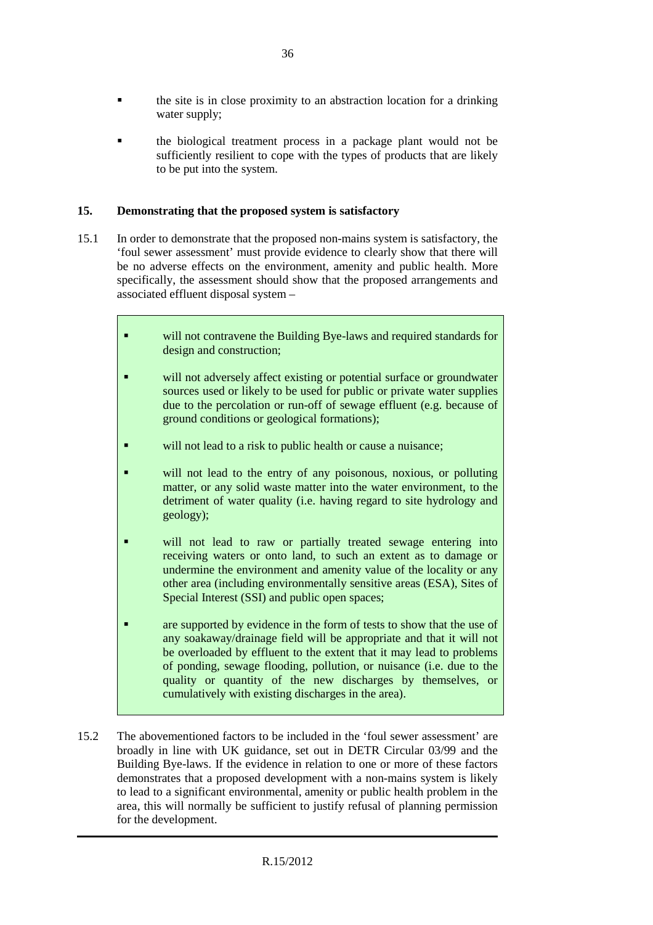- the site is in close proximity to an abstraction location for a drinking water supply;
- the biological treatment process in a package plant would not be sufficiently resilient to cope with the types of products that are likely to be put into the system.

#### **15. Demonstrating that the proposed system is satisfactory**

- 15.1 In order to demonstrate that the proposed non-mains system is satisfactory, the 'foul sewer assessment' must provide evidence to clearly show that there will be no adverse effects on the environment, amenity and public health. More specifically, the assessment should show that the proposed arrangements and associated effluent disposal system –
	- will not contravene the Building Bye-laws and required standards for design and construction; **u** will not adversely affect existing or potential surface or groundwater
	- sources used or likely to be used for public or private water supplies due to the percolation or run-off of sewage effluent (e.g. because of ground conditions or geological formations);
	- will not lead to a risk to public health or cause a nuisance;
	- will not lead to the entry of any poisonous, noxious, or polluting matter, or any solid waste matter into the water environment, to the detriment of water quality (i.e. having regard to site hydrology and geology);
	- **will not lead to raw or partially treated sewage entering into** receiving waters or onto land, to such an extent as to damage or undermine the environment and amenity value of the locality or any other area (including environmentally sensitive areas (ESA), Sites of Special Interest (SSI) and public open spaces;
	- are supported by evidence in the form of tests to show that the use of any soakaway/drainage field will be appropriate and that it will not be overloaded by effluent to the extent that it may lead to problems of ponding, sewage flooding, pollution, or nuisance (i.e. due to the quality or quantity of the new discharges by themselves, or cumulatively with existing discharges in the area).
- 15.2 The abovementioned factors to be included in the 'foul sewer assessment' are broadly in line with UK guidance, set out in DETR Circular 03/99 and the Building Bye-laws. If the evidence in relation to one or more of these factors demonstrates that a proposed development with a non-mains system is likely to lead to a significant environmental, amenity or public health problem in the area, this will normally be sufficient to justify refusal of planning permission for the development.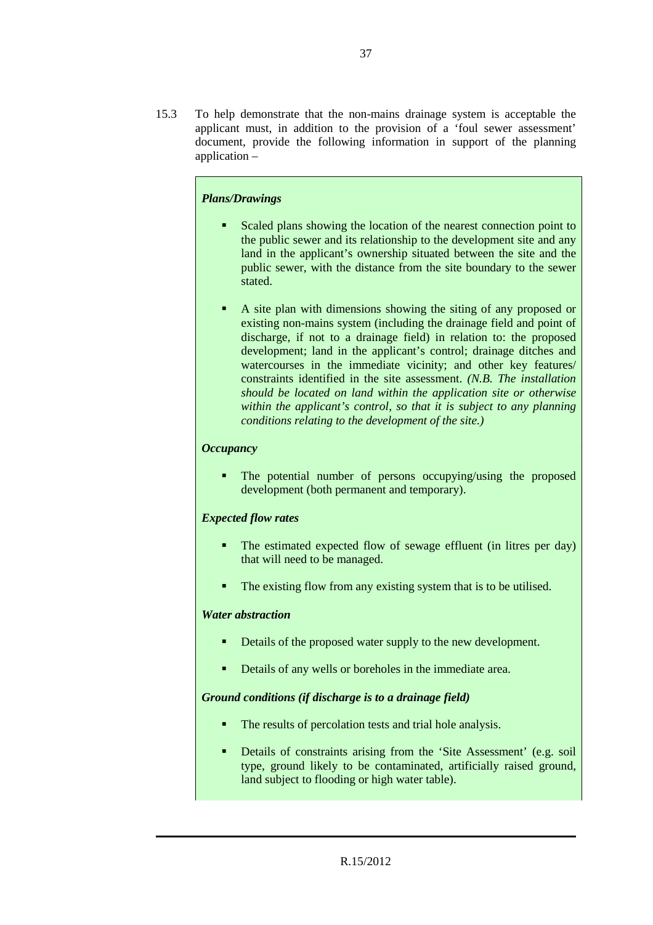15.3 To help demonstrate that the non-mains drainage system is acceptable the applicant must, in addition to the provision of a 'foul sewer assessment' document, provide the following information in support of the planning application –

#### *Plans/Drawings*

- Scaled plans showing the location of the nearest connection point to the public sewer and its relationship to the development site and any land in the applicant's ownership situated between the site and the public sewer, with the distance from the site boundary to the sewer stated.
- A site plan with dimensions showing the siting of any proposed or existing non-mains system (including the drainage field and point of discharge, if not to a drainage field) in relation to: the proposed development; land in the applicant's control; drainage ditches and watercourses in the immediate vicinity; and other key features/ constraints identified in the site assessment. *(N.B. The installation should be located on land within the application site or otherwise within the applicant's control, so that it is subject to any planning conditions relating to the development of the site.)*

#### *Occupancy*

• The potential number of persons occupying/using the proposed development (both permanent and temporary).

#### *Expected flow rates*

- The estimated expected flow of sewage effluent (in litres per day) that will need to be managed.
- The existing flow from any existing system that is to be utilised.

#### *Water abstraction*

- Details of the proposed water supply to the new development.
- Details of any wells or boreholes in the immediate area.

#### *Ground conditions (if discharge is to a drainage field)*

- The results of percolation tests and trial hole analysis.
- Details of constraints arising from the 'Site Assessment' (e.g. soil type, ground likely to be contaminated, artificially raised ground, land subject to flooding or high water table).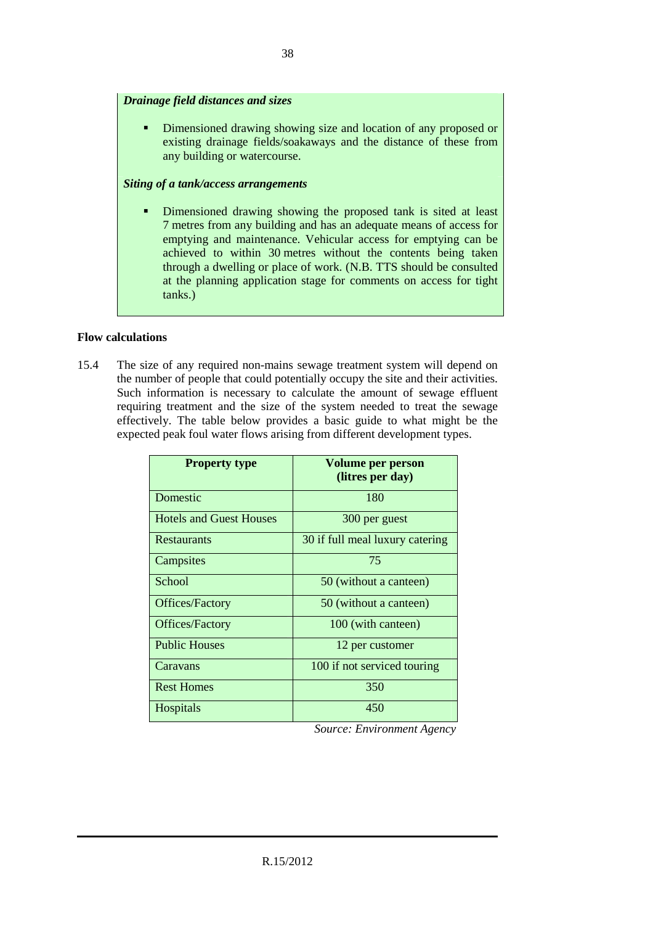#### *Drainage field distances and sizes*

Dimensioned drawing showing size and location of any proposed or existing drainage fields/soakaways and the distance of these from any building or watercourse.

#### *Siting of a tank/access arrangements*

 Dimensioned drawing showing the proposed tank is sited at least 7 metres from any building and has an adequate means of access for emptying and maintenance. Vehicular access for emptying can be achieved to within 30 metres without the contents being taken through a dwelling or place of work. (N.B. TTS should be consulted at the planning application stage for comments on access for tight tanks.)

#### **Flow calculations**

15.4 The size of any required non-mains sewage treatment system will depend on the number of people that could potentially occupy the site and their activities. Such information is necessary to calculate the amount of sewage effluent requiring treatment and the size of the system needed to treat the sewage effectively. The table below provides a basic guide to what might be the expected peak foul water flows arising from different development types.

| <b>Property type</b>           | Volume per person<br>(litres per day) |
|--------------------------------|---------------------------------------|
| Domestic                       | 180                                   |
| <b>Hotels and Guest Houses</b> | 300 per guest                         |
| <b>Restaurants</b>             | 30 if full meal luxury catering       |
| Campsites                      | 75                                    |
| School                         | 50 (without a canteen)                |
| Offices/Factory                | 50 (without a canteen)                |
| Offices/Factory                | 100 (with canteen)                    |
| <b>Public Houses</b>           | 12 per customer                       |
| Caravans                       | 100 if not serviced touring           |
| <b>Rest Homes</b>              | 350                                   |
| <b>Hospitals</b>               | 450                                   |

 *Source: Environment Agency*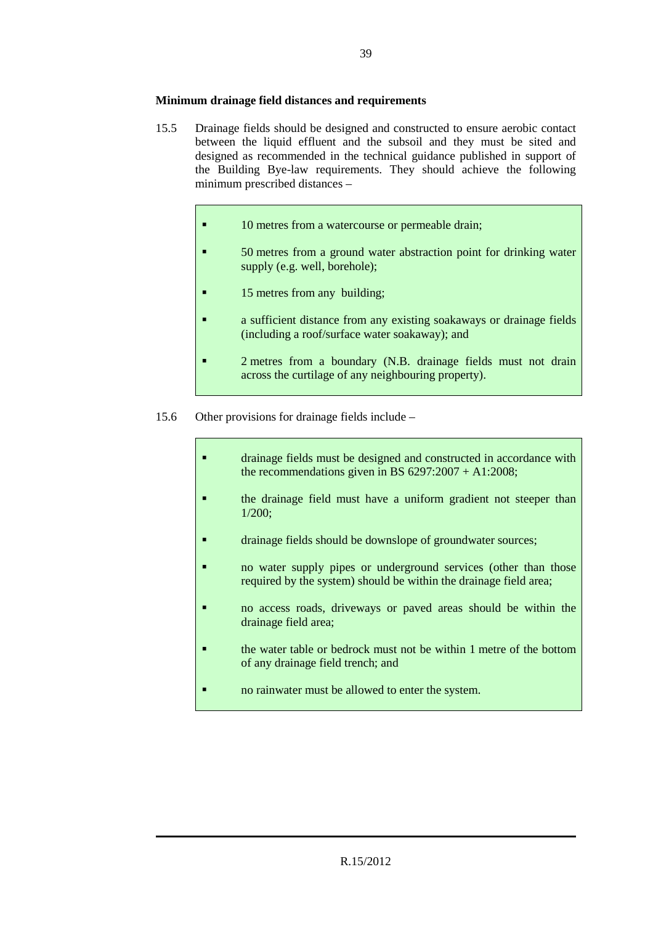#### **Minimum drainage field distances and requirements**

- 15.5 Drainage fields should be designed and constructed to ensure aerobic contact between the liquid effluent and the subsoil and they must be sited and designed as recommended in the technical guidance published in support of the Building Bye-law requirements. They should achieve the following minimum prescribed distances –
	- **10 metres from a watercourse or permeable drain;**
	- 50 metres from a ground water abstraction point for drinking water supply (e.g. well, borehole);
	- **15 metres from any building;**
	- **a** sufficient distance from any existing soakaways or drainage fields (including a roof/surface water soakaway); and
	- 2 metres from a boundary (N.B. drainage fields must not drain across the curtilage of any neighbouring property).
- 15.6 Other provisions for drainage fields include
	- drainage fields must be designed and constructed in accordance with the recommendations given in BS  $6297:2007 + A1:2008$ ;
	- **the drainage field must have a uniform gradient not steeper than** 1/200;
	- drainage fields should be downslope of groundwater sources;
	- no water supply pipes or underground services (other than those required by the system) should be within the drainage field area;
	- no access roads, driveways or paved areas should be within the drainage field area;
	- **the water table or bedrock must not be within 1 metre of the bottom** of any drainage field trench; and
	- **no rainwater must be allowed to enter the system.**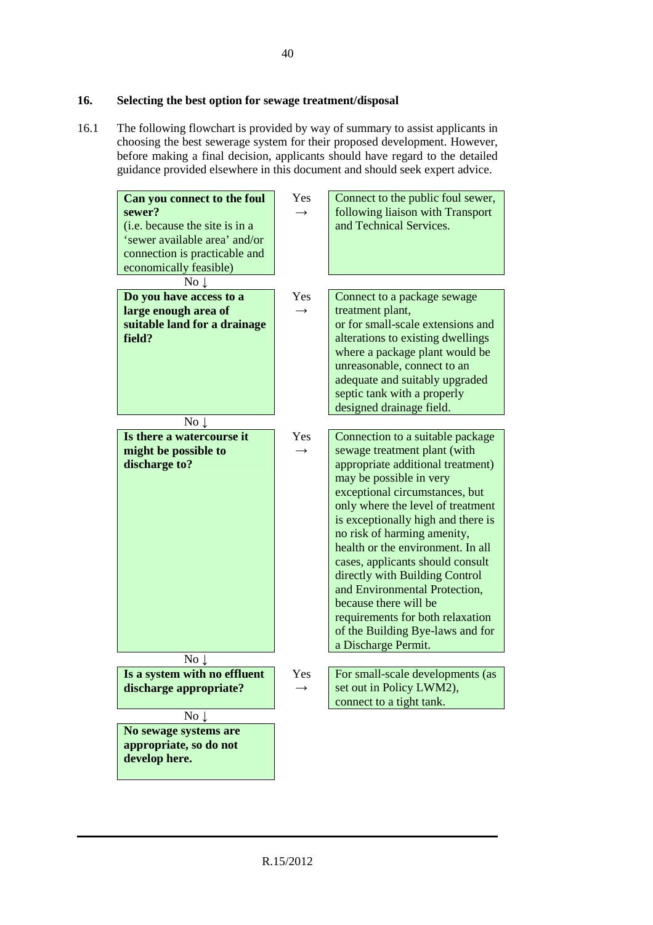#### **16. Selecting the best option for sewage treatment/disposal**

16.1 The following flowchart is provided by way of summary to assist applicants in choosing the best sewerage system for their proposed development. However, before making a final decision, applicants should have regard to the detailed guidance provided elsewhere in this document and should seek expert advice.

| Can you connect to the foul<br>sewer?<br>(i.e. because the site is in a<br>'sewer available area' and/or<br>connection is practicable and<br>economically feasible) | Yes<br>$\rightarrow$ | Connect to the public foul sewer,<br>following liaison with Transport<br>and Technical Services.                                                                                                                                                                                                                                                                                                                                                                                                                                                 |
|---------------------------------------------------------------------------------------------------------------------------------------------------------------------|----------------------|--------------------------------------------------------------------------------------------------------------------------------------------------------------------------------------------------------------------------------------------------------------------------------------------------------------------------------------------------------------------------------------------------------------------------------------------------------------------------------------------------------------------------------------------------|
| No <sub>1</sub>                                                                                                                                                     |                      |                                                                                                                                                                                                                                                                                                                                                                                                                                                                                                                                                  |
| Do you have access to a<br>large enough area of<br>suitable land for a drainage<br>field?                                                                           | Yes<br>$\rightarrow$ | Connect to a package sewage<br>treatment plant,<br>or for small-scale extensions and<br>alterations to existing dwellings<br>where a package plant would be<br>unreasonable, connect to an<br>adequate and suitably upgraded<br>septic tank with a properly<br>designed drainage field.                                                                                                                                                                                                                                                          |
| No <sub>1</sub>                                                                                                                                                     |                      |                                                                                                                                                                                                                                                                                                                                                                                                                                                                                                                                                  |
| Is there a watercourse it<br>might be possible to<br>discharge to?                                                                                                  | Yes<br>$\rightarrow$ | Connection to a suitable package<br>sewage treatment plant (with<br>appropriate additional treatment)<br>may be possible in very<br>exceptional circumstances, but<br>only where the level of treatment<br>is exceptionally high and there is<br>no risk of harming amenity,<br>health or the environment. In all<br>cases, applicants should consult<br>directly with Building Control<br>and Environmental Protection,<br>because there will be<br>requirements for both relaxation<br>of the Building Bye-laws and for<br>a Discharge Permit. |
| $\overline{\text{No}}\downarrow$                                                                                                                                    |                      |                                                                                                                                                                                                                                                                                                                                                                                                                                                                                                                                                  |
| Is a system with no effluent<br>discharge appropriate?                                                                                                              | Yes                  | For small-scale developments (as<br>set out in Policy LWM2),<br>connect to a tight tank.                                                                                                                                                                                                                                                                                                                                                                                                                                                         |
| No $\downarrow$                                                                                                                                                     |                      |                                                                                                                                                                                                                                                                                                                                                                                                                                                                                                                                                  |
| No sewage systems are<br>appropriate, so do not<br>develop here.                                                                                                    |                      |                                                                                                                                                                                                                                                                                                                                                                                                                                                                                                                                                  |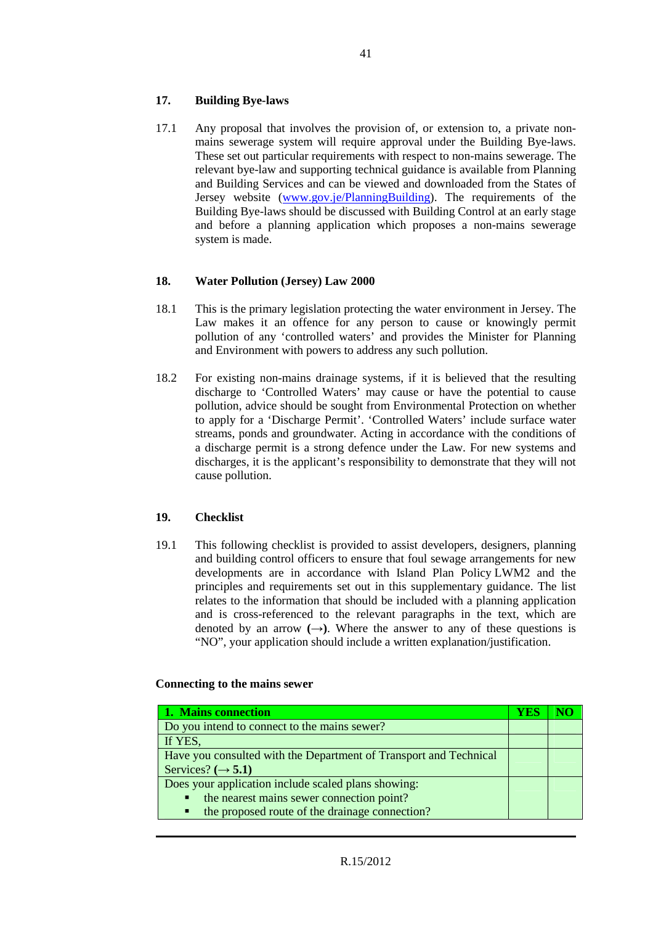#### **17. Building Bye-laws**

17.1 Any proposal that involves the provision of, or extension to, a private nonmains sewerage system will require approval under the Building Bye-laws. These set out particular requirements with respect to non-mains sewerage. The relevant bye-law and supporting technical guidance is available from Planning and Building Services and can be viewed and downloaded from the States of Jersey website (www.gov.je/PlanningBuilding). The requirements of the Building Bye-laws should be discussed with Building Control at an early stage and before a planning application which proposes a non-mains sewerage system is made.

#### **18. Water Pollution (Jersey) Law 2000**

- 18.1 This is the primary legislation protecting the water environment in Jersey. The Law makes it an offence for any person to cause or knowingly permit pollution of any 'controlled waters' and provides the Minister for Planning and Environment with powers to address any such pollution.
- 18.2 For existing non-mains drainage systems, if it is believed that the resulting discharge to 'Controlled Waters' may cause or have the potential to cause pollution, advice should be sought from Environmental Protection on whether to apply for a 'Discharge Permit'. 'Controlled Waters' include surface water streams, ponds and groundwater. Acting in accordance with the conditions of a discharge permit is a strong defence under the Law. For new systems and discharges, it is the applicant's responsibility to demonstrate that they will not cause pollution.

#### **19. Checklist**

19.1 This following checklist is provided to assist developers, designers, planning and building control officers to ensure that foul sewage arrangements for new developments are in accordance with Island Plan Policy LWM2 and the principles and requirements set out in this supplementary guidance. The list relates to the information that should be included with a planning application and is cross-referenced to the relevant paragraphs in the text, which are denoted by an arrow  $(\rightarrow)$ . Where the answer to any of these questions is "NO", your application should include a written explanation/justification.

#### **Connecting to the mains sewer**

| 1. Mains connection                                               | YES |  |
|-------------------------------------------------------------------|-----|--|
| Do you intend to connect to the mains sewer?                      |     |  |
| If YES,                                                           |     |  |
| Have you consulted with the Department of Transport and Technical |     |  |
| Services? $(\rightarrow 5.1)$                                     |     |  |
| Does your application include scaled plans showing:               |     |  |
| the nearest mains sewer connection point?<br>$\blacksquare$       |     |  |
| the proposed route of the drainage connection?<br>п               |     |  |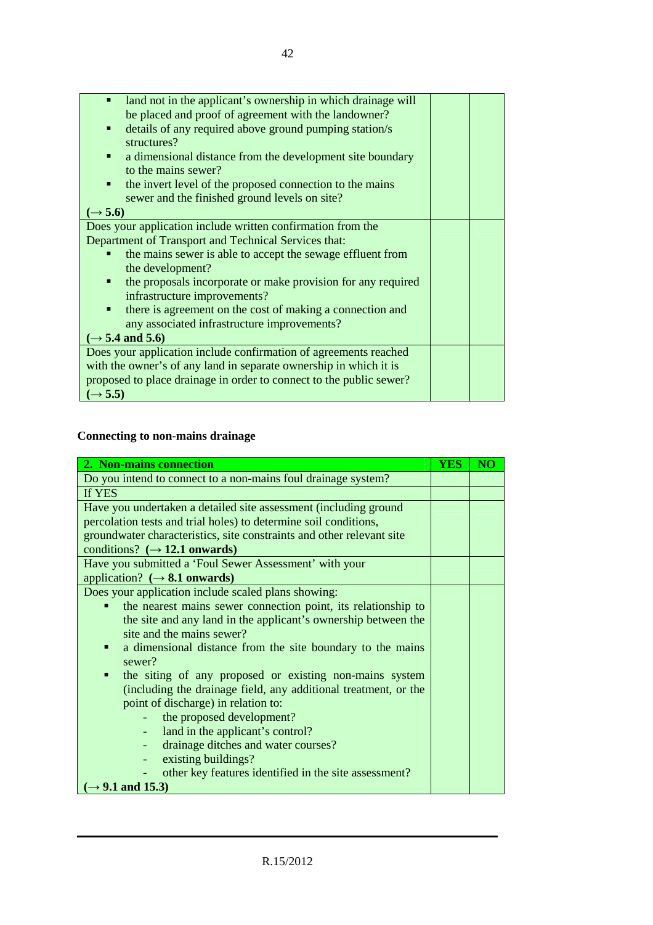| land not in the applicant's ownership in which drainage will        |  |
|---------------------------------------------------------------------|--|
| be placed and proof of agreement with the landowner?                |  |
| details of any required above ground pumping station/s<br>٠         |  |
| structures?                                                         |  |
| a dimensional distance from the development site boundary<br>п      |  |
| to the mains sewer?                                                 |  |
| the invert level of the proposed connection to the mains<br>٠       |  |
| sewer and the finished ground levels on site?                       |  |
| $(\rightarrow 5.6)$                                                 |  |
| Does your application include written confirmation from the         |  |
| Department of Transport and Technical Services that:                |  |
| the mains sewer is able to accept the sewage effluent from          |  |
| the development?                                                    |  |
| the proposals incorporate or make provision for any required<br>٠   |  |
| infrastructure improvements?                                        |  |
| there is agreement on the cost of making a connection and<br>٠      |  |
| any associated infrastructure improvements?                         |  |
| $(\rightarrow$ 5.4 and 5.6)                                         |  |
| Does your application include confirmation of agreements reached    |  |
| with the owner's of any land in separate ownership in which it is   |  |
| proposed to place drainage in order to connect to the public sewer? |  |
| $(\rightarrow 5.5)$                                                 |  |

#### **Connecting to non-mains drainage**

| 2. Non-mains connection                                               | <b>YES</b> | $\overline{\text{NO}}$ |
|-----------------------------------------------------------------------|------------|------------------------|
| Do you intend to connect to a non-mains foul drainage system?         |            |                        |
| If YES                                                                |            |                        |
| Have you undertaken a detailed site assessment (including ground      |            |                        |
| percolation tests and trial holes) to determine soil conditions,      |            |                        |
| groundwater characteristics, site constraints and other relevant site |            |                        |
| conditions? $(\rightarrow 12.1$ onwards)                              |            |                        |
| Have you submitted a 'Foul Sewer Assessment' with your                |            |                        |
| application? $(\rightarrow 8.1$ onwards)                              |            |                        |
| Does your application include scaled plans showing:                   |            |                        |
| the nearest mains sewer connection point, its relationship to         |            |                        |
| the site and any land in the applicant's ownership between the        |            |                        |
| site and the mains sewer?                                             |            |                        |
| a dimensional distance from the site boundary to the mains<br>п       |            |                        |
| sewer?                                                                |            |                        |
| the siting of any proposed or existing non-mains system<br>٠          |            |                        |
| (including the drainage field, any additional treatment, or the       |            |                        |
| point of discharge) in relation to:                                   |            |                        |
| the proposed development?                                             |            |                        |
| land in the applicant's control?<br>$\overline{\phantom{a}}$          |            |                        |
| drainage ditches and water courses?<br>٠                              |            |                        |
| existing buildings?<br>٠                                              |            |                        |
| other key features identified in the site assessment?                 |            |                        |
| $(\rightarrow 9.1$ and 15.3)                                          |            |                        |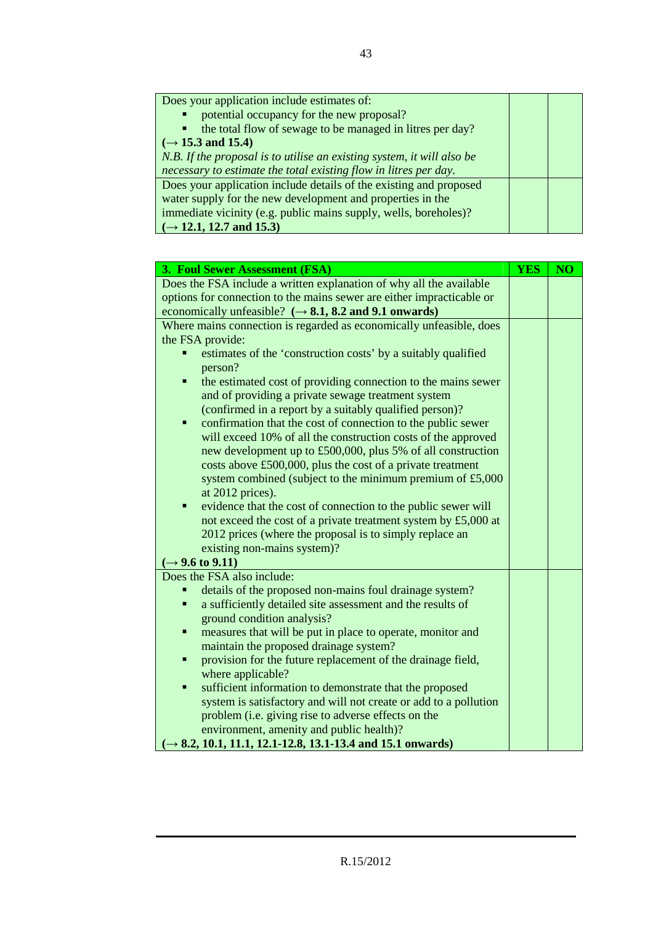| Does your application include estimates of:                                 |  |
|-----------------------------------------------------------------------------|--|
| potential occupancy for the new proposal?<br>$\blacksquare$                 |  |
| the total flow of sewage to be managed in litres per day?<br>$\blacksquare$ |  |
| $(\rightarrow 15.3 \text{ and } 15.4)$                                      |  |
| N.B. If the proposal is to utilise an existing system, it will also be      |  |
| necessary to estimate the total existing flow in litres per day.            |  |
| Does your application include details of the existing and proposed          |  |
| water supply for the new development and properties in the                  |  |
| immediate vicinity (e.g. public mains supply, wells, boreholes)?            |  |
| $(\rightarrow 12.1, 12.7, \text{ and } 15.3)$                               |  |

| 3. Foul Sewer Assessment (FSA)                                                     | <b>YES</b> | NO <sub></sub> |
|------------------------------------------------------------------------------------|------------|----------------|
| Does the FSA include a written explanation of why all the available                |            |                |
| options for connection to the mains sewer are either impracticable or              |            |                |
| economically unfeasible? $(\rightarrow 8.1, 8.2 \text{ and } 9.1 \text{ onwards})$ |            |                |
| Where mains connection is regarded as economically unfeasible, does                |            |                |
| the FSA provide:                                                                   |            |                |
| estimates of the 'construction costs' by a suitably qualified                      |            |                |
| person?                                                                            |            |                |
| the estimated cost of providing connection to the mains sewer<br>Ξ                 |            |                |
| and of providing a private sewage treatment system                                 |            |                |
| (confirmed in a report by a suitably qualified person)?                            |            |                |
| confirmation that the cost of connection to the public sewer<br>٠                  |            |                |
| will exceed 10% of all the construction costs of the approved                      |            |                |
| new development up to £500,000, plus 5% of all construction                        |            |                |
| costs above £500,000, plus the cost of a private treatment                         |            |                |
| system combined (subject to the minimum premium of £5,000                          |            |                |
| at 2012 prices).                                                                   |            |                |
| evidence that the cost of connection to the public sewer will<br>٠                 |            |                |
| not exceed the cost of a private treatment system by £5,000 at                     |            |                |
| 2012 prices (where the proposal is to simply replace an                            |            |                |
| existing non-mains system)?                                                        |            |                |
| $(\rightarrow 9.6 \text{ to } 9.11)$                                               |            |                |
| Does the FSA also include:                                                         |            |                |
| details of the proposed non-mains foul drainage system?                            |            |                |
| a sufficiently detailed site assessment and the results of<br>Ξ                    |            |                |
| ground condition analysis?                                                         |            |                |
| measures that will be put in place to operate, monitor and<br>Ξ                    |            |                |
| maintain the proposed drainage system?                                             |            |                |
| provision for the future replacement of the drainage field,<br>Ξ                   |            |                |
| where applicable?                                                                  |            |                |
| sufficient information to demonstrate that the proposed<br>Ξ                       |            |                |
| system is satisfactory and will not create or add to a pollution                   |            |                |
| problem (i.e. giving rise to adverse effects on the                                |            |                |
| environment, amenity and public health)?                                           |            |                |
| $(\rightarrow 8.2, 10.1, 11.1, 12.1 - 12.8, 13.1 - 13.4, and 15.1 onwards)$        |            |                |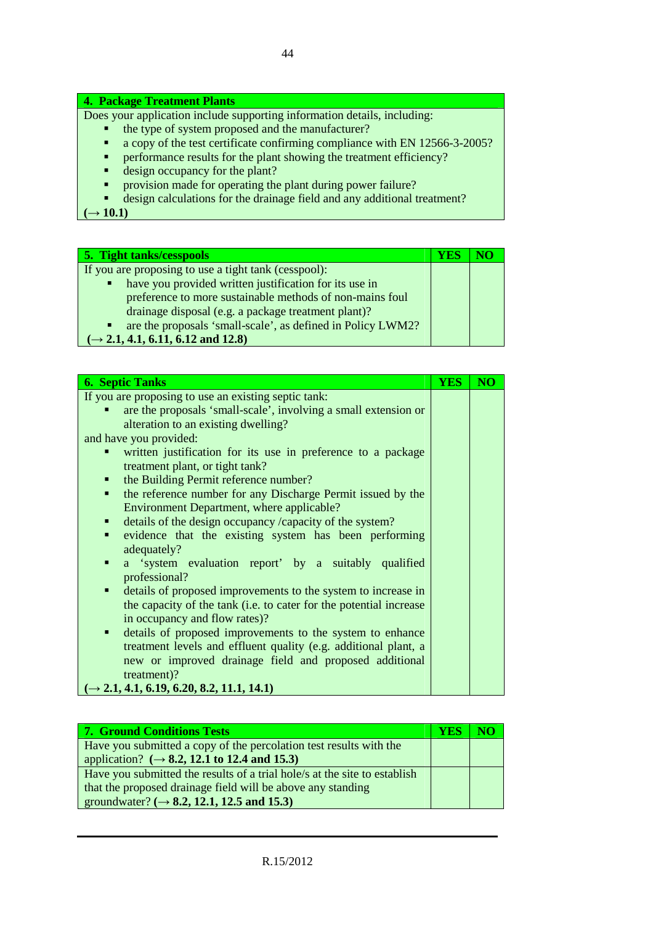#### **4. Package Treatment Plants**

Does your application include supporting information details, including:

- the type of system proposed and the manufacturer?<br>■ a conv of the test certificate confirming compliance
- a copy of the test certificate confirming compliance with EN 12566-3-2005?
- **PERFORMANCE RESULTS** FOR THE PLANT SHOWING THE TREATMENT PERFORMANCE PROPERTY?
- e design occupancy for the plant?
- **provision made for operating the plant during power failure?**<br> **e** design calculations for the drainage field and any additional t
- design calculations for the drainage field and any additional treatment?

 $\rightarrow$  10.1)

| <b>5. Tight tanks/cesspools</b>                                  | Y ES |  |
|------------------------------------------------------------------|------|--|
| If you are proposing to use a tight tank (cesspool):             |      |  |
| have you provided written justification for its use in<br>٠      |      |  |
| preference to more sustainable methods of non-mains foul         |      |  |
| drainage disposal (e.g. a package treatment plant)?              |      |  |
| are the proposals 'small-scale', as defined in Policy LWM2?<br>٠ |      |  |
| $\rightarrow$ 2.1, 4.1, 6.11, 6.12 and 12.8)                     |      |  |

| <b>6. Septic Tanks</b>                                                        | <b>YES</b> | $\overline{\text{NO}}$ |
|-------------------------------------------------------------------------------|------------|------------------------|
| If you are proposing to use an existing septic tank:                          |            |                        |
| are the proposals 'small-scale', involving a small extension or               |            |                        |
| alteration to an existing dwelling?                                           |            |                        |
| and have you provided:                                                        |            |                        |
| written justification for its use in preference to a package                  |            |                        |
| treatment plant, or tight tank?                                               |            |                        |
| the Building Permit reference number?                                         |            |                        |
| the reference number for any Discharge Permit issued by the<br>$\blacksquare$ |            |                        |
| Environment Department, where applicable?                                     |            |                        |
| details of the design occupancy /capacity of the system?<br>$\blacksquare$    |            |                        |
| evidence that the existing system has been performing<br>$\blacksquare$       |            |                        |
| adequately?                                                                   |            |                        |
| a 'system evaluation report' by a suitably qualified<br>٠                     |            |                        |
| professional?                                                                 |            |                        |
| details of proposed improvements to the system to increase in<br>٠            |            |                        |
| the capacity of the tank (i.e. to cater for the potential increase            |            |                        |
| in occupancy and flow rates)?                                                 |            |                        |
| details of proposed improvements to the system to enhance<br>$\blacksquare$   |            |                        |
| treatment levels and effluent quality (e.g. additional plant, a               |            |                        |
| new or improved drainage field and proposed additional                        |            |                        |
| treatment)?                                                                   |            |                        |
| $(\rightarrow 2.1, 4.1, 6.19, 6.20, 8.2, 11.1, 14.1)$                         |            |                        |

| <b>7. Ground Conditions Tests</b>                                         | YES | NO |
|---------------------------------------------------------------------------|-----|----|
| Have you submitted a copy of the percolation test results with the        |     |    |
| application? $(\rightarrow 8.2, 12.1 \text{ to } 12.4 \text{ and } 15.3)$ |     |    |
| Have you submitted the results of a trial hole/s at the site to establish |     |    |
| that the proposed drainage field will be above any standing               |     |    |
| groundwater? ( $\rightarrow$ 8.2, 12.1, 12.5 and 15.3)                    |     |    |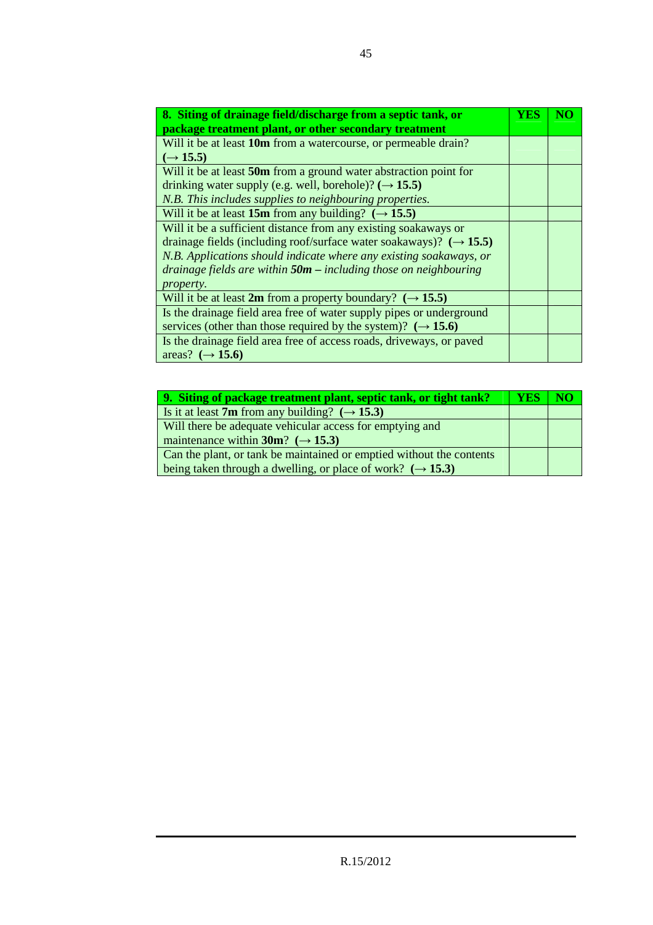| 8. Siting of drainage field/discharge from a septic tank, or                   | YES |  |
|--------------------------------------------------------------------------------|-----|--|
| package treatment plant, or other secondary treatment                          |     |  |
| Will it be at least 10m from a watercourse, or permeable drain?                |     |  |
| $(\rightarrow 15.5)$                                                           |     |  |
| Will it be at least 50m from a ground water abstraction point for              |     |  |
| drinking water supply (e.g. well, borehole)? $(\rightarrow 15.5)$              |     |  |
| N.B. This includes supplies to neighbouring properties.                        |     |  |
| Will it be at least 15m from any building? $(\rightarrow 15.5)$                |     |  |
| Will it be a sufficient distance from any existing soakaways or                |     |  |
| drainage fields (including roof/surface water soakaways)? $(\rightarrow 15.5)$ |     |  |
| N.B. Applications should indicate where any existing soakaways, or             |     |  |
| drainage fields are within $50m$ – including those on neighbouring             |     |  |
| property.                                                                      |     |  |
| Will it be at least 2m from a property boundary? $(\rightarrow 15.5)$          |     |  |
| Is the drainage field area free of water supply pipes or underground           |     |  |
| services (other than those required by the system)? $(\rightarrow 15.6)$       |     |  |
| Is the drainage field area free of access roads, driveways, or paved           |     |  |
| areas? $(\rightarrow 15.6)$                                                    |     |  |

| 9. Siting of package treatment plant, septic tank, or tight tank?      | YES |  |
|------------------------------------------------------------------------|-----|--|
| Is it at least 7m from any building? $(\rightarrow 15.3)$              |     |  |
| Will there be adequate vehicular access for emptying and               |     |  |
| maintenance within 30m? ( $\rightarrow$ 15.3)                          |     |  |
| Can the plant, or tank be maintained or emptied without the contents   |     |  |
| being taken through a dwelling, or place of work? $(\rightarrow 15.3)$ |     |  |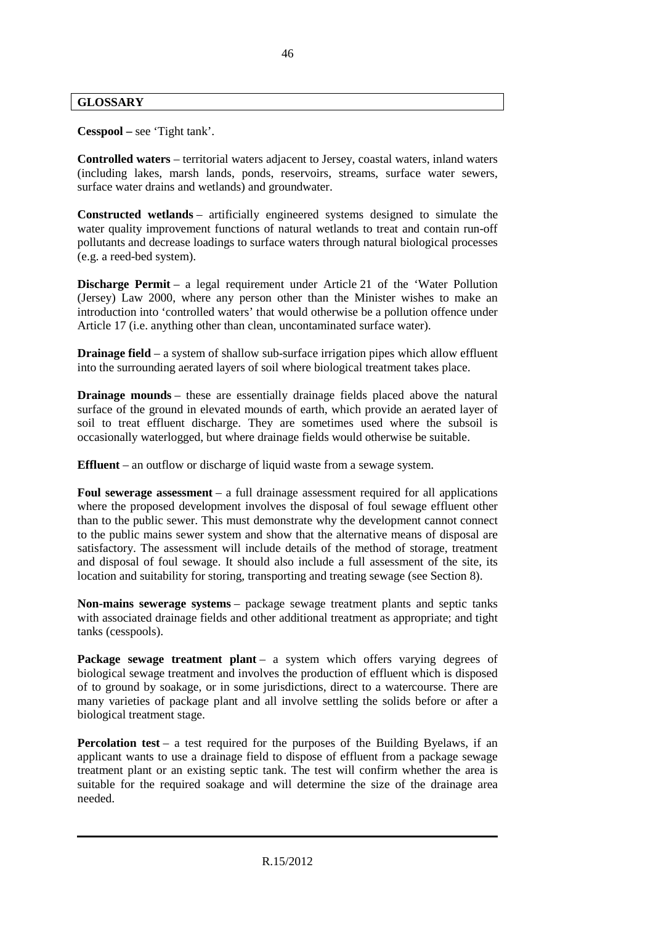#### **GLOSSARY**

**Cesspool –** see 'Tight tank'.

**Controlled waters** – territorial waters adjacent to Jersey, coastal waters, inland waters (including lakes, marsh lands, ponds, reservoirs, streams, surface water sewers, surface water drains and wetlands) and groundwater.

**Constructed wetlands** – artificially engineered systems designed to simulate the water quality improvement functions of natural wetlands to treat and contain run-off pollutants and decrease loadings to surface waters through natural biological processes (e.g. a reed-bed system).

**Discharge Permit** – a legal requirement under Article 21 of the 'Water Pollution (Jersey) Law 2000, where any person other than the Minister wishes to make an introduction into 'controlled waters' that would otherwise be a pollution offence under Article 17 (i.e. anything other than clean, uncontaminated surface water).

**Drainage field** – a system of shallow sub-surface irrigation pipes which allow effluent into the surrounding aerated layers of soil where biological treatment takes place.

**Drainage mounds** – these are essentially drainage fields placed above the natural surface of the ground in elevated mounds of earth, which provide an aerated layer of soil to treat effluent discharge. They are sometimes used where the subsoil is occasionally waterlogged, but where drainage fields would otherwise be suitable.

**Effluent** – an outflow or discharge of liquid waste from a sewage system.

**Foul sewerage assessment** – a full drainage assessment required for all applications where the proposed development involves the disposal of foul sewage effluent other than to the public sewer. This must demonstrate why the development cannot connect to the public mains sewer system and show that the alternative means of disposal are satisfactory. The assessment will include details of the method of storage, treatment and disposal of foul sewage. It should also include a full assessment of the site, its location and suitability for storing, transporting and treating sewage (see Section 8).

**Non-mains sewerage systems** – package sewage treatment plants and septic tanks with associated drainage fields and other additional treatment as appropriate; and tight tanks (cesspools).

Package sewage treatment plant – a system which offers varying degrees of biological sewage treatment and involves the production of effluent which is disposed of to ground by soakage, or in some jurisdictions, direct to a watercourse. There are many varieties of package plant and all involve settling the solids before or after a biological treatment stage.

**Percolation test** – a test required for the purposes of the Building Byelaws, if an applicant wants to use a drainage field to dispose of effluent from a package sewage treatment plant or an existing septic tank. The test will confirm whether the area is suitable for the required soakage and will determine the size of the drainage area needed.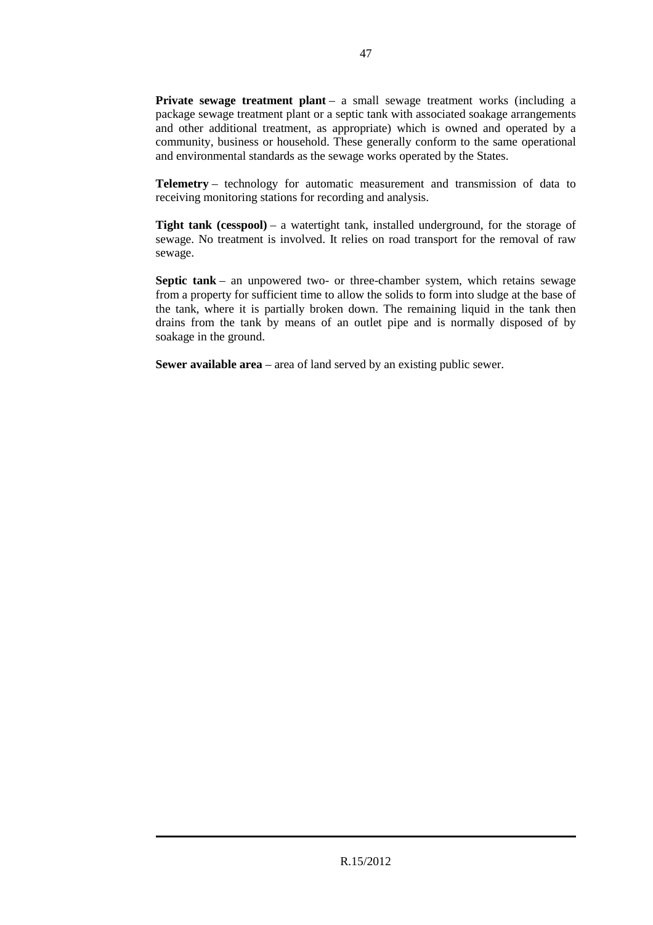**Private sewage treatment plant** – a small sewage treatment works (including a package sewage treatment plant or a septic tank with associated soakage arrangements and other additional treatment, as appropriate) which is owned and operated by a community, business or household. These generally conform to the same operational and environmental standards as the sewage works operated by the States.

**Telemetry** – technology for automatic measurement and transmission of data to receiving monitoring stations for recording and analysis.

**Tight tank (cesspool)** – a watertight tank, installed underground, for the storage of sewage. No treatment is involved. It relies on road transport for the removal of raw sewage.

**Septic tank** – an unpowered two- or three-chamber system, which retains sewage from a property for sufficient time to allow the solids to form into sludge at the base of the tank, where it is partially broken down. The remaining liquid in the tank then drains from the tank by means of an outlet pipe and is normally disposed of by soakage in the ground.

**Sewer available area** – area of land served by an existing public sewer.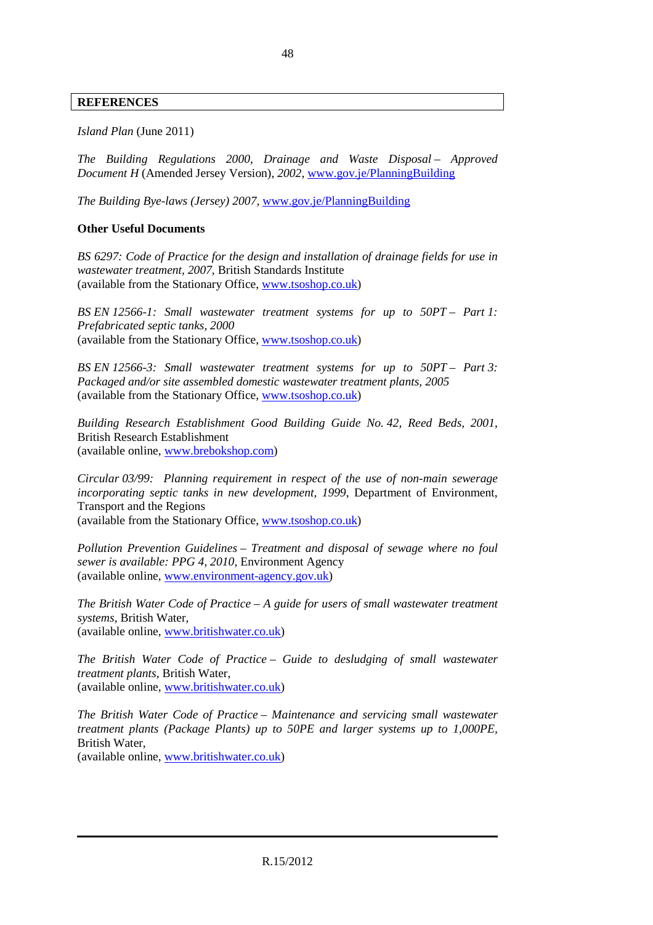#### **REFERENCES**

*Island Plan* (June 2011)

*The Building Regulations 2000, Drainage and Waste Disposal – Approved Document H* (Amended Jersey Version), *2002*, www.gov.je/PlanningBuilding

*The Building Bye-laws (Jersey) 2007,* www.gov.je/PlanningBuilding

#### **Other Useful Documents**

*BS 6297: Code of Practice for the design and installation of drainage fields for use in wastewater treatment, 2007,* British Standards Institute (available from the Stationary Office, www.tsoshop.co.uk)

*BS EN 12566-1: Small wastewater treatment systems for up to 50PT – Part 1: Prefabricated septic tanks, 2000*  (available from the Stationary Office, www.tsoshop.co.uk)

*BS EN 12566-3: Small wastewater treatment systems for up to 50PT – Part 3: Packaged and/or site assembled domestic wastewater treatment plants, 2005* (available from the Stationary Office, www.tsoshop.co.uk)

*Building Research Establishment Good Building Guide No. 42, Reed Beds, 2001*, British Research Establishment (available online, www.brebokshop.com)

*Circular 03/99: Planning requirement in respect of the use of non-main sewerage incorporating septic tanks in new development, 1999*, Department of Environment, Transport and the Regions

(available from the Stationary Office, www.tsoshop.co.uk)

*Pollution Prevention Guidelines – Treatment and disposal of sewage where no foul sewer is available: PPG 4, 2010,* Environment Agency (available online, www.environment-agency.gov.uk)

*The British Water Code of Practice – A guide for users of small wastewater treatment systems,* British Water, (available online, www.britishwater.co.uk)

*The British Water Code of Practice – Guide to desludging of small wastewater treatment plants,* British Water, (available online, www.britishwater.co.uk)

*The British Water Code of Practice – Maintenance and servicing small wastewater treatment plants (Package Plants) up to 50PE and larger systems up to 1,000PE,*  British Water, (available online, www.britishwater.co.uk)